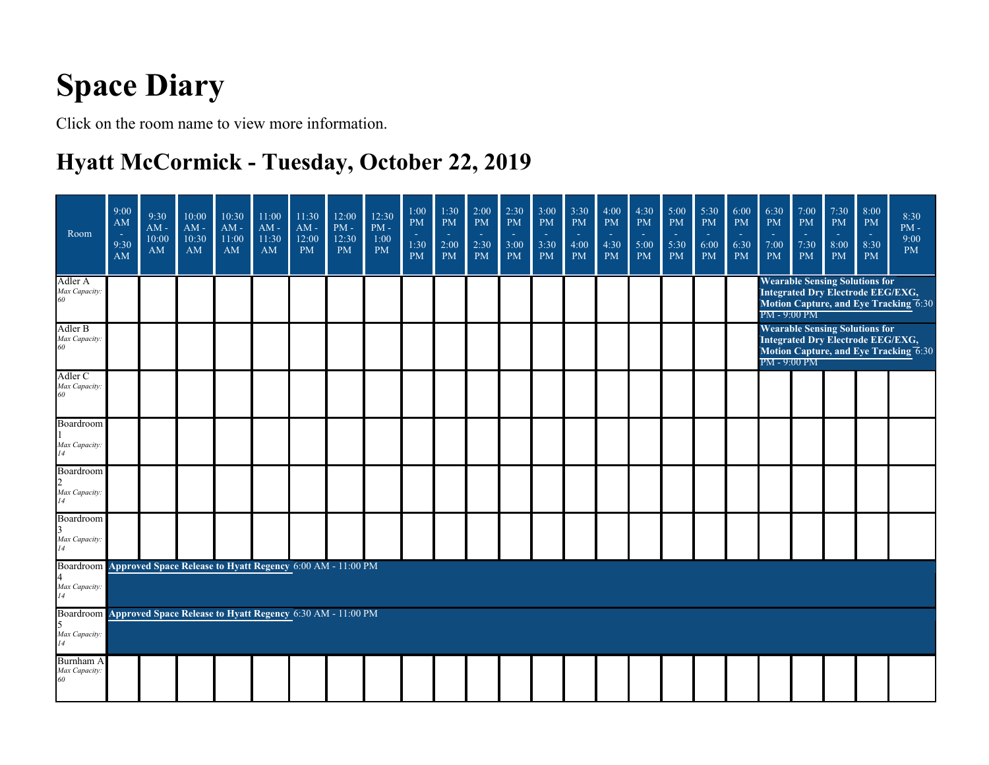# **Space Diary**

Click on the room name to view more information.

### **Hyatt McCormick - Tuesday, October 22, 2019**

| Room                                                                                        | 9:00<br>AM<br>٠<br>9:30<br>AM | 9:30<br>$AM -$<br>10:00<br>AM | 10:00<br>AM -<br>10:30<br>AM | 10:30<br>$AM -$<br>11:00<br>AM | 11:00<br>AM -<br>11:30<br>AM | 11:30<br>$AM -$<br>12:00<br><b>PM</b> | 12:00<br>$\mathrm{PM}$ -<br>12:30<br><b>PM</b> | 12:30<br>$\overline{\text{PM}}$ -<br>1:00<br><b>PM</b> | 1:00<br>$\mathbf{PM}$<br>$\sim$<br>1:30<br><b>PM</b> | 1:30<br><b>PM</b><br><b>Co</b><br>2:00<br><b>PM</b> | 2:00<br><b>PM</b><br>$\sim$<br>2:30<br><b>PM</b> | 2:30<br><b>PM</b><br>$\sim$<br>3:00<br><b>PM</b> | 3:00<br><b>PM</b><br><b>Co</b><br>3:30<br><b>PM</b> | 3:30<br><b>PM</b><br>$\sim$<br>4:00<br><b>PM</b> | 4:00<br><b>PM</b><br>$\sim$<br>4:30<br><b>PM</b> | 4:30<br><b>PM</b><br>$\sim$<br>5:00<br><b>PM</b> | 5:00<br><b>PM</b><br><b>14</b><br>5:30<br><b>PM</b> | 5:30<br><b>PM</b><br>$\sim$<br>6:00<br><b>PM</b> | 6:00<br><b>PM</b><br>$\sim$<br>6:30<br><b>PM</b> | 6:30<br><b>PM</b><br>$\sim$<br>7:00<br><b>PM</b> | 7:00<br><b>PM</b><br>$\sim$<br>7:30<br><b>PM</b>                                  | 7:30<br><b>PM</b><br>$\sim$<br>8:00<br><b>PM</b> | 8:00<br><b>PM</b><br>$\sim$<br>8:30<br><b>PM</b> | 8:30<br>$PM -$<br>9:00<br><b>PM</b>   |
|---------------------------------------------------------------------------------------------|-------------------------------|-------------------------------|------------------------------|--------------------------------|------------------------------|---------------------------------------|------------------------------------------------|--------------------------------------------------------|------------------------------------------------------|-----------------------------------------------------|--------------------------------------------------|--------------------------------------------------|-----------------------------------------------------|--------------------------------------------------|--------------------------------------------------|--------------------------------------------------|-----------------------------------------------------|--------------------------------------------------|--------------------------------------------------|--------------------------------------------------|-----------------------------------------------------------------------------------|--------------------------------------------------|--------------------------------------------------|---------------------------------------|
| Adler A<br>Max Capacity.<br>60                                                              |                               |                               |                              |                                |                              |                                       |                                                |                                                        |                                                      |                                                     |                                                  |                                                  |                                                     |                                                  |                                                  |                                                  |                                                     |                                                  |                                                  | PM - 9:00 PM                                     | <b>Wearable Sensing Solutions for</b><br>Integrated Dry Electrode EEG/EXG,        |                                                  |                                                  | Motion Capture, and Eye Tracking 6:30 |
| Adler B<br>Max Capacity.<br>60                                                              |                               |                               |                              |                                |                              |                                       |                                                |                                                        |                                                      |                                                     |                                                  |                                                  |                                                     |                                                  |                                                  |                                                  |                                                     |                                                  |                                                  | $PM - 9:00$ $PM$                                 | <b>Wearable Sensing Solutions for</b><br><b>Integrated Dry Electrode EEG/EXG,</b> |                                                  |                                                  | Motion Capture, and Eye Tracking 6:30 |
| Adler C<br>Max Capacity.<br>60                                                              |                               |                               |                              |                                |                              |                                       |                                                |                                                        |                                                      |                                                     |                                                  |                                                  |                                                     |                                                  |                                                  |                                                  |                                                     |                                                  |                                                  |                                                  |                                                                                   |                                                  |                                                  |                                       |
| Boardroom<br>Max Capacity.<br>14                                                            |                               |                               |                              |                                |                              |                                       |                                                |                                                        |                                                      |                                                     |                                                  |                                                  |                                                     |                                                  |                                                  |                                                  |                                                     |                                                  |                                                  |                                                  |                                                                                   |                                                  |                                                  |                                       |
| Boardroom<br>Max Capacity.<br>14                                                            |                               |                               |                              |                                |                              |                                       |                                                |                                                        |                                                      |                                                     |                                                  |                                                  |                                                     |                                                  |                                                  |                                                  |                                                     |                                                  |                                                  |                                                  |                                                                                   |                                                  |                                                  |                                       |
| Boardroom<br>Max Capacity:<br>14                                                            |                               |                               |                              |                                |                              |                                       |                                                |                                                        |                                                      |                                                     |                                                  |                                                  |                                                     |                                                  |                                                  |                                                  |                                                     |                                                  |                                                  |                                                  |                                                                                   |                                                  |                                                  |                                       |
| Boardroom Approved Space Release to Hyatt Regency 6:00 AM - 11:00 PM<br>Max Capacity:<br>14 |                               |                               |                              |                                |                              |                                       |                                                |                                                        |                                                      |                                                     |                                                  |                                                  |                                                     |                                                  |                                                  |                                                  |                                                     |                                                  |                                                  |                                                  |                                                                                   |                                                  |                                                  |                                       |
| Boardroom Approved Space Release to Hyatt Regency 6:30 AM - 11:00 PM<br>Max Capacity:<br>14 |                               |                               |                              |                                |                              |                                       |                                                |                                                        |                                                      |                                                     |                                                  |                                                  |                                                     |                                                  |                                                  |                                                  |                                                     |                                                  |                                                  |                                                  |                                                                                   |                                                  |                                                  |                                       |
| Burnham A<br>Max Capacity:<br>60                                                            |                               |                               |                              |                                |                              |                                       |                                                |                                                        |                                                      |                                                     |                                                  |                                                  |                                                     |                                                  |                                                  |                                                  |                                                     |                                                  |                                                  |                                                  |                                                                                   |                                                  |                                                  |                                       |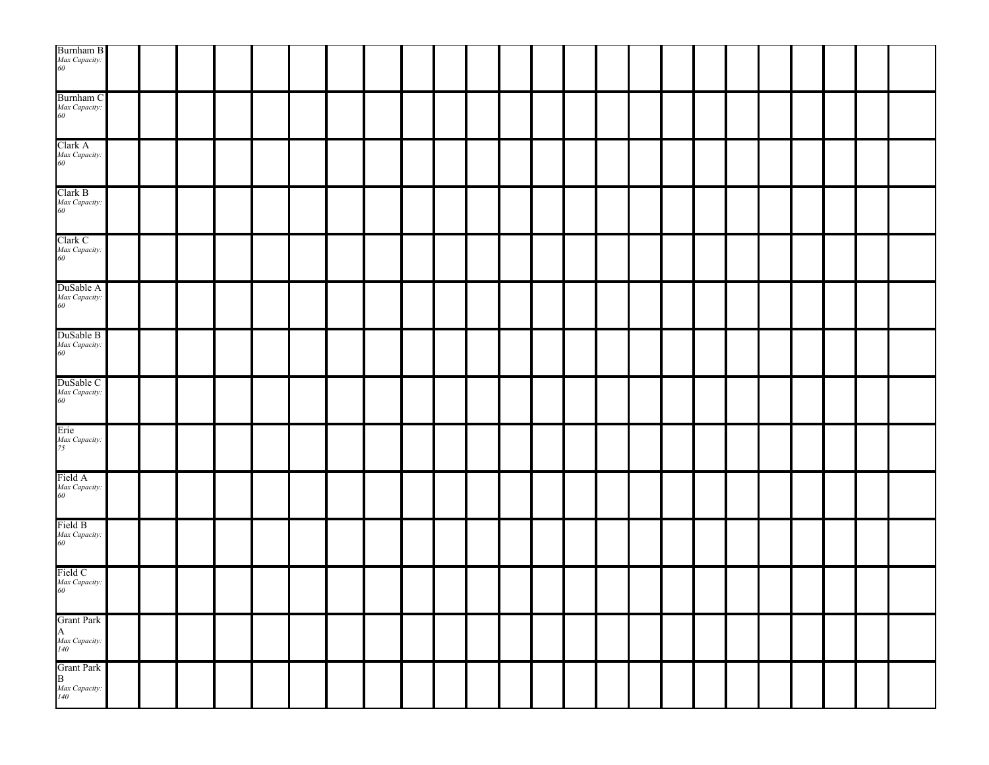| $\begin{array}{l} {\rm Burnham~B} \\ {\it Max~ Capacity:} \\ 60 \end{array}$ |  |  |  |  |  |  |  |  |  |  |  |  |
|------------------------------------------------------------------------------|--|--|--|--|--|--|--|--|--|--|--|--|
| Burnham C<br>Max Capacity:<br>60                                             |  |  |  |  |  |  |  |  |  |  |  |  |
| Clark A<br>Max Capacity:<br>60                                               |  |  |  |  |  |  |  |  |  |  |  |  |
| Clark B<br>Max Capacity:<br>60                                               |  |  |  |  |  |  |  |  |  |  |  |  |
| Clark C<br>Max Capacity:<br>60                                               |  |  |  |  |  |  |  |  |  |  |  |  |
| DuSable A<br>Max Capacity:<br>60                                             |  |  |  |  |  |  |  |  |  |  |  |  |
| DuSable B<br>Max Capacity:<br>60                                             |  |  |  |  |  |  |  |  |  |  |  |  |
| DuSable C<br>Max Capacity:<br>60                                             |  |  |  |  |  |  |  |  |  |  |  |  |
| Erie<br>Max Capacity:<br>75                                                  |  |  |  |  |  |  |  |  |  |  |  |  |
| Field A<br>Max Capacity:<br>60                                               |  |  |  |  |  |  |  |  |  |  |  |  |
| Field B<br>Max Capacity:<br>60                                               |  |  |  |  |  |  |  |  |  |  |  |  |
| Field C<br>Max Capacity:<br>60                                               |  |  |  |  |  |  |  |  |  |  |  |  |
| Grant Park<br>A<br><i>Max Capacity:</i><br>140                               |  |  |  |  |  |  |  |  |  |  |  |  |
| Grant Park<br>B<br><i>Max Capacity:</i><br><sup>140</sup>                    |  |  |  |  |  |  |  |  |  |  |  |  |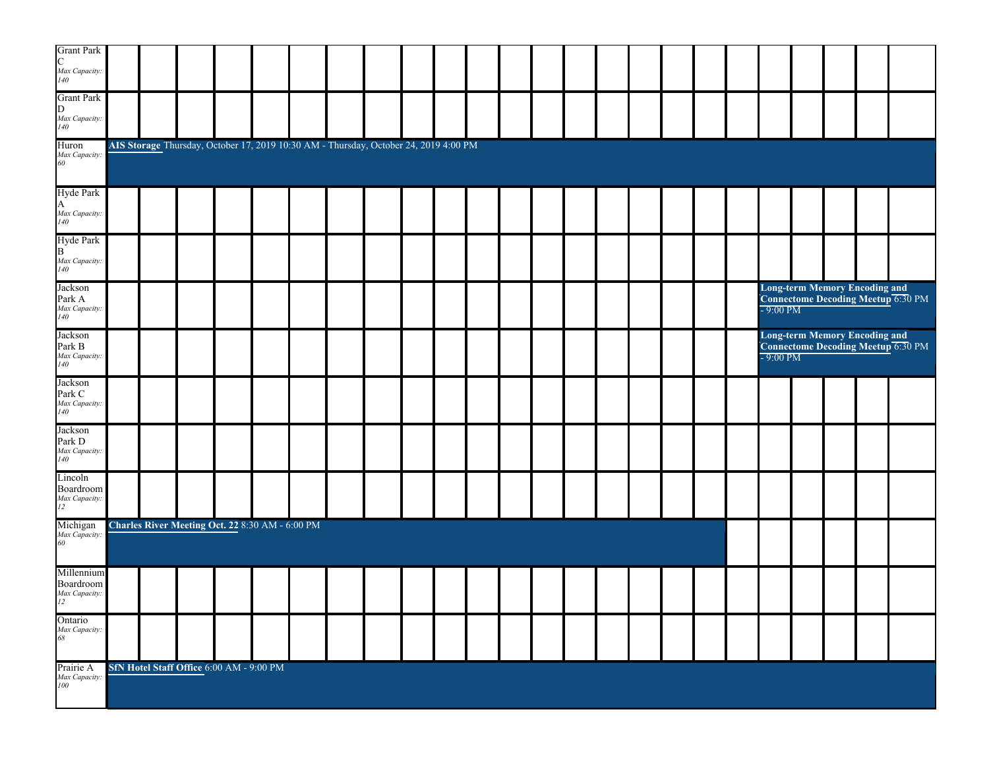| Grant Park<br>C<br>Max Capacity:<br>140          |  |                                                                                      |  |  |  |  |  |  |  |                    |  |                                                                         |
|--------------------------------------------------|--|--------------------------------------------------------------------------------------|--|--|--|--|--|--|--|--------------------|--|-------------------------------------------------------------------------|
| <b>Grant Park</b><br>D<br>Max Capacity:<br>140   |  |                                                                                      |  |  |  |  |  |  |  |                    |  |                                                                         |
| Huron<br>Max Capacity:<br>60                     |  | AIS Storage Thursday, October 17, 2019 10:30 AM - Thursday, October 24, 2019 4:00 PM |  |  |  |  |  |  |  |                    |  |                                                                         |
| Hyde Park<br>A<br>Max Capacity:<br>140           |  |                                                                                      |  |  |  |  |  |  |  |                    |  |                                                                         |
| Hyde Park<br>B<br>Max Capacity:<br>140           |  |                                                                                      |  |  |  |  |  |  |  |                    |  |                                                                         |
| Jackson<br>Park A<br>Max Capacity:<br>140        |  |                                                                                      |  |  |  |  |  |  |  | $-9:00$ PM         |  | <b>Long-term Memory Encoding and Connectome Decoding Meetup 6:30 PM</b> |
| Jackson<br>Park B<br><i>Max Capacity:</i><br>140 |  |                                                                                      |  |  |  |  |  |  |  | $-9:00 \text{ PM}$ |  | Long-term Memory Encoding and<br>Connectome Decoding Meetup 6:30 PM     |
| Jackson<br>Park C<br>Max Capacity:<br>140        |  |                                                                                      |  |  |  |  |  |  |  |                    |  |                                                                         |
| Jackson<br>Park D<br>Max Capacity:<br>140        |  |                                                                                      |  |  |  |  |  |  |  |                    |  |                                                                         |
| Lincoln<br>Boardroom<br>Max Capacity:<br>12      |  |                                                                                      |  |  |  |  |  |  |  |                    |  |                                                                         |
| Michigan<br>Max Capacity:<br>60                  |  | Charles River Meeting Oct. 22 8:30 AM - 6:00 PM                                      |  |  |  |  |  |  |  |                    |  |                                                                         |
| Millennium<br>Boardroom<br>Max Capacity:<br>12   |  |                                                                                      |  |  |  |  |  |  |  |                    |  |                                                                         |
| Ontario<br>Max Capacity:<br>68                   |  |                                                                                      |  |  |  |  |  |  |  |                    |  |                                                                         |
| Prairie A<br>Max Capacity:<br>100                |  | SfN Hotel Staff Office 6:00 AM - 9:00 PM                                             |  |  |  |  |  |  |  |                    |  |                                                                         |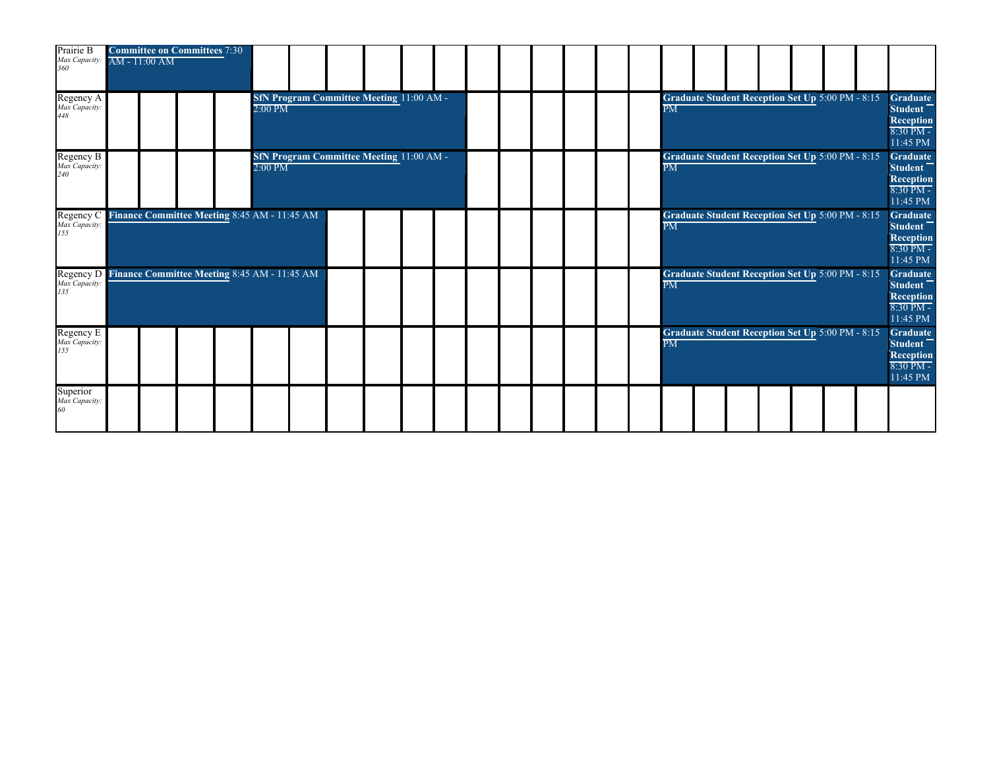| Prairie B<br>Max Capacity:<br>360                                       | $AM - 11:00 AM$ | <b>Committee on Committees 7:30</b>          |           |  |                                                 |  |  |  |  |                          |                                                         |  |  |                                                                                 |
|-------------------------------------------------------------------------|-----------------|----------------------------------------------|-----------|--|-------------------------------------------------|--|--|--|--|--------------------------|---------------------------------------------------------|--|--|---------------------------------------------------------------------------------|
| Regency A<br>Max Capacity:<br>448                                       |                 |                                              | $2:00$ PM |  | <b>SfN Program Committee Meeting 11:00 AM -</b> |  |  |  |  | $\overline{\mathrm{PM}}$ | <b>Graduate Student Reception Set Up 5:00 PM - 8:15</b> |  |  | <b>Graduate</b><br>Student <sup>-</sup><br>Reception<br>$8:30$ PM -<br>11:45 PM |
| Regency B<br>Max Capacity:<br>240                                       |                 |                                              | $2:00$ PM |  | <b>SfN Program Committee Meeting 11:00 AM -</b> |  |  |  |  | $\overline{\text{PM}}$   | Graduate Student Reception Set Up 5:00 PM - 8:15        |  |  | <b>Graduate</b><br>Student <sup>-</sup><br>Reception<br>$8:30$ PM -<br>11:45 PM |
| Regency C<br>Max Capacity:<br>155                                       |                 | Finance Committee Meeting 8:45 AM - 11:45 AM |           |  |                                                 |  |  |  |  | $\overline{\text{PM}}$   | <b>Graduate Student Reception Set Up 5:00 PM - 8:15</b> |  |  | <b>Graduate</b><br><b>Student</b><br>Reception<br>$8:30$ PM -<br>11:45 PM       |
| Regency D Finance Committee Meeting 8:45 AM - 11:45 AM<br>Max Capacity. |                 |                                              |           |  |                                                 |  |  |  |  | $\overline{\mathrm{PM}}$ | Graduate Student Reception Set Up 5:00 PM - 8:15        |  |  | <b>Graduate</b><br>Student <sup>-</sup><br>Reception<br>8:30 PM -<br>11:45 PM   |
| Regency E<br>Max Capacity.<br>155                                       |                 |                                              |           |  |                                                 |  |  |  |  | $\overline{\text{PM}}$   | Graduate Student Reception Set Up 5:00 PM - 8:15        |  |  | <b>Graduate</b><br>Student <sup>-</sup><br>Reception<br>$8:30$ PM -<br>11:45 PM |
| Superior<br>Max Capacity.<br>60                                         |                 |                                              |           |  |                                                 |  |  |  |  |                          |                                                         |  |  |                                                                                 |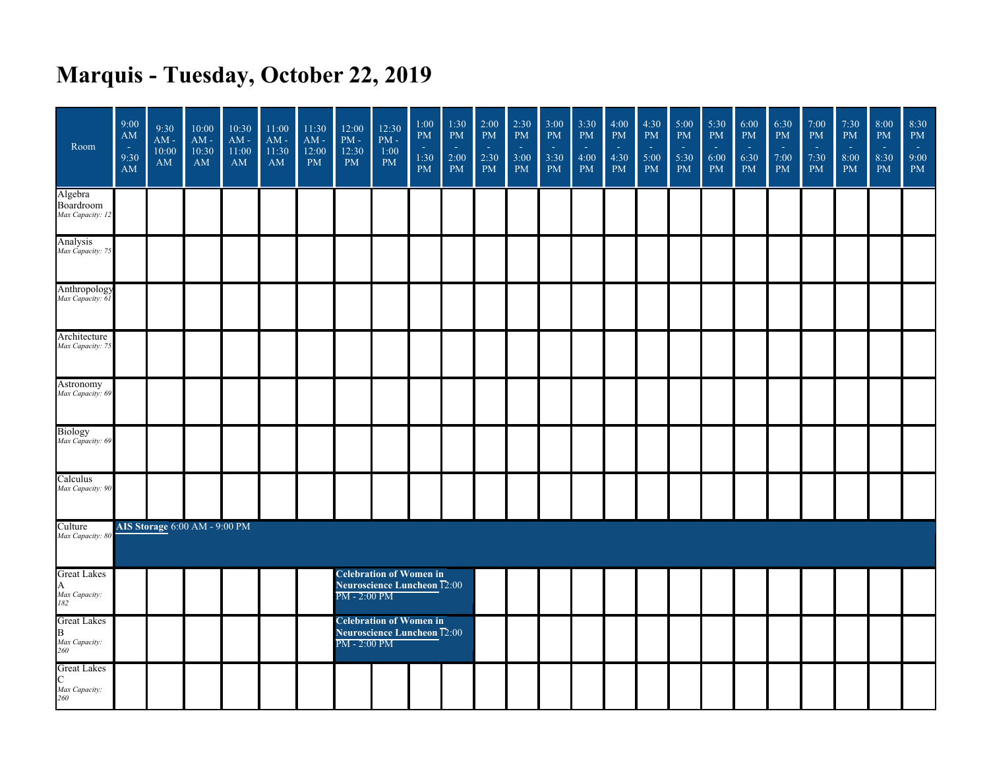## **Marquis - Tuesday, October 22, 2019**

| Room                                            | 9:00<br>AM<br>$\sim$<br>9:30<br>AM | 9:30<br>$\mathbf{AM}$ -<br>10:00<br><b>AM</b> | 10:00<br>$AM -$<br>10:30<br>AM       | 10:30<br>$AM -$<br>11:00<br>AM | 11:00<br>$AM -$<br>11:30<br>AM | 11:30<br>$AM -$<br>12:00<br><b>PM</b> | 12:00<br>$\mathrm{PM}$ -<br>12:30<br><b>PM</b> | 12:30<br>$\mathrm{PM}$ -<br>1:00<br><b>PM</b>                 | 1:00<br><b>PM</b><br>$\sim$<br>1:30<br>PM | 1:30<br><b>PM</b><br>У.<br>2:00<br><b>PM</b> | 2:00<br>PM<br>n.<br>2:30<br><b>PM</b> | 2:30<br>PM<br>п.<br>3:00<br><b>PM</b> | 3:00<br><b>PM</b><br>$\sim$<br>3:30<br><b>PM</b> | 3:30<br><b>PM</b><br>$\sim$<br>4:00<br><b>PM</b> | 4:00<br>PM<br>п.<br>4:30<br><b>PM</b> | 4:30<br>PM<br>п.<br>5:00<br><b>PM</b> | 5:00<br><b>PM</b><br>$\sim$<br>5:30<br><b>PM</b> | 5:30<br>$\mathrm{PM}$<br>$\sim$<br>6:00<br>PM | 6:00<br><b>PM</b><br>÷.<br>6:30<br><b>PM</b> | 6:30<br>PM<br>÷.<br>7:00<br><b>PM</b> | 7:00<br><b>PM</b><br>- 11<br>7:30<br><b>PM</b> | 7:30<br>$\mathbf{PM}$<br>$\sim$<br>8:00<br>$\mathbf{PM}$ | 8:00<br>PM<br>п.<br>8:30<br><b>PM</b> | 8:30<br>$\mathbf{PM}$<br>чe<br>9:00<br>PM |
|-------------------------------------------------|------------------------------------|-----------------------------------------------|--------------------------------------|--------------------------------|--------------------------------|---------------------------------------|------------------------------------------------|---------------------------------------------------------------|-------------------------------------------|----------------------------------------------|---------------------------------------|---------------------------------------|--------------------------------------------------|--------------------------------------------------|---------------------------------------|---------------------------------------|--------------------------------------------------|-----------------------------------------------|----------------------------------------------|---------------------------------------|------------------------------------------------|----------------------------------------------------------|---------------------------------------|-------------------------------------------|
| Algebra<br>Boardroom<br>Max Capacity: 12        |                                    |                                               |                                      |                                |                                |                                       |                                                |                                                               |                                           |                                              |                                       |                                       |                                                  |                                                  |                                       |                                       |                                                  |                                               |                                              |                                       |                                                |                                                          |                                       |                                           |
| Analysis<br>Max Capacity: 75                    |                                    |                                               |                                      |                                |                                |                                       |                                                |                                                               |                                           |                                              |                                       |                                       |                                                  |                                                  |                                       |                                       |                                                  |                                               |                                              |                                       |                                                |                                                          |                                       |                                           |
| Anthropology<br>Max Capacity: 61                |                                    |                                               |                                      |                                |                                |                                       |                                                |                                                               |                                           |                                              |                                       |                                       |                                                  |                                                  |                                       |                                       |                                                  |                                               |                                              |                                       |                                                |                                                          |                                       |                                           |
| Architecture<br>Max Capacity: 75                |                                    |                                               |                                      |                                |                                |                                       |                                                |                                                               |                                           |                                              |                                       |                                       |                                                  |                                                  |                                       |                                       |                                                  |                                               |                                              |                                       |                                                |                                                          |                                       |                                           |
| Astronomy<br>Max Capacity: 69                   |                                    |                                               |                                      |                                |                                |                                       |                                                |                                                               |                                           |                                              |                                       |                                       |                                                  |                                                  |                                       |                                       |                                                  |                                               |                                              |                                       |                                                |                                                          |                                       |                                           |
| <b>Biology</b><br>Max Capacity: 69              |                                    |                                               |                                      |                                |                                |                                       |                                                |                                                               |                                           |                                              |                                       |                                       |                                                  |                                                  |                                       |                                       |                                                  |                                               |                                              |                                       |                                                |                                                          |                                       |                                           |
| Calculus<br>Max Capacity: 90                    |                                    |                                               |                                      |                                |                                |                                       |                                                |                                                               |                                           |                                              |                                       |                                       |                                                  |                                                  |                                       |                                       |                                                  |                                               |                                              |                                       |                                                |                                                          |                                       |                                           |
| Culture<br>Max Capacity: 80                     |                                    |                                               | <b>AIS Storage 6:00 AM - 9:00 PM</b> |                                |                                |                                       |                                                |                                                               |                                           |                                              |                                       |                                       |                                                  |                                                  |                                       |                                       |                                                  |                                               |                                              |                                       |                                                |                                                          |                                       |                                           |
| <b>Great Lakes</b><br>A<br>Max Capacity:<br>182 |                                    |                                               |                                      |                                |                                |                                       | PM - 2:00 PM                                   | <b>Celebration of Women in</b><br>Neuroscience Luncheon T2:00 |                                           |                                              |                                       |                                       |                                                  |                                                  |                                       |                                       |                                                  |                                               |                                              |                                       |                                                |                                                          |                                       |                                           |
| <b>Great Lakes</b><br>B<br>Max Capacity:<br>260 |                                    |                                               |                                      |                                |                                |                                       | PM - 2:00 PM                                   | <b>Celebration of Women in</b><br>Neuroscience Luncheon T2:00 |                                           |                                              |                                       |                                       |                                                  |                                                  |                                       |                                       |                                                  |                                               |                                              |                                       |                                                |                                                          |                                       |                                           |
| <b>Great Lakes</b><br>C<br>Max Capacity:<br>260 |                                    |                                               |                                      |                                |                                |                                       |                                                |                                                               |                                           |                                              |                                       |                                       |                                                  |                                                  |                                       |                                       |                                                  |                                               |                                              |                                       |                                                |                                                          |                                       |                                           |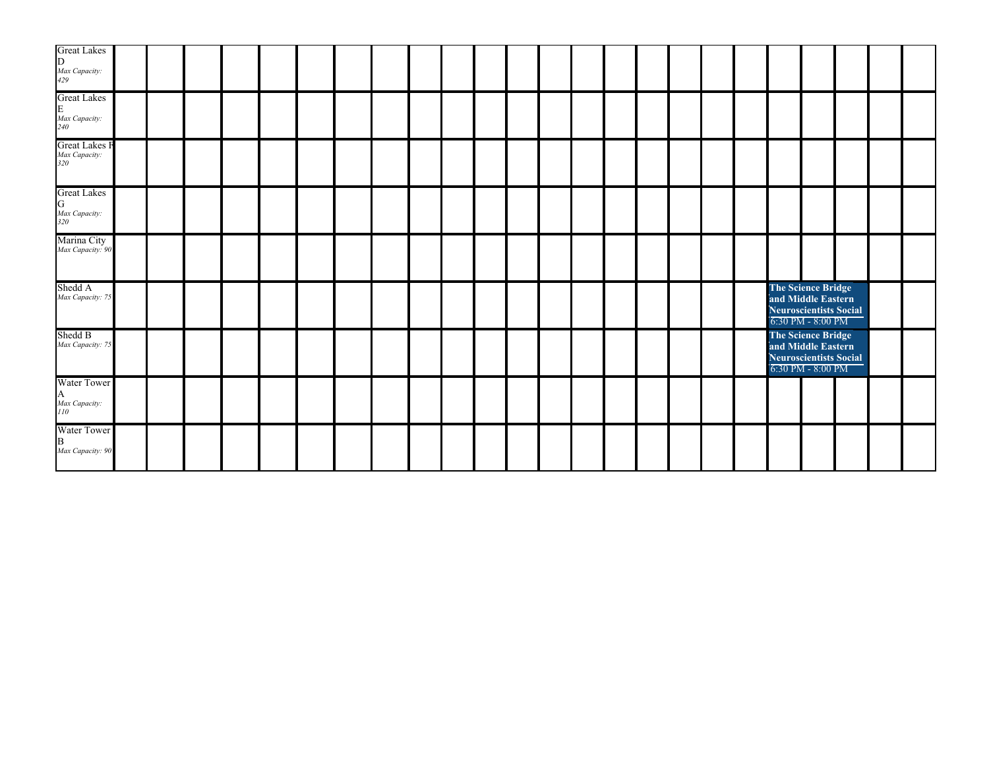| <b>Great Lakes</b><br>D.<br>Max Capacity:<br>429 |  |  |  |  |  |  |  |  |  |  |                                                                                         |  |  |
|--------------------------------------------------|--|--|--|--|--|--|--|--|--|--|-----------------------------------------------------------------------------------------|--|--|
| <b>Great Lakes</b><br>E<br>Max Capacity:<br>240  |  |  |  |  |  |  |  |  |  |  |                                                                                         |  |  |
| <b>Great Lakes F</b><br>Max Capacity:<br>320     |  |  |  |  |  |  |  |  |  |  |                                                                                         |  |  |
| <b>Great Lakes</b><br>G<br>Max Capacity:<br>320  |  |  |  |  |  |  |  |  |  |  |                                                                                         |  |  |
| Marina City<br>Max Capacity: 90                  |  |  |  |  |  |  |  |  |  |  |                                                                                         |  |  |
| Shedd A<br>Max Capacity: 75                      |  |  |  |  |  |  |  |  |  |  | The Science Bridge<br>and Middle Eastern<br>Neuroscientists Social<br>6:30 PM - 8:00 PM |  |  |
| Shedd B<br>Max Capacity: 75                      |  |  |  |  |  |  |  |  |  |  | The Science Bridge<br>and Middle Eastern<br>Neuroscientists Social<br>6:30 PM - 8:00 PM |  |  |
| Water Tower<br>A<br>Max Capacity:<br>110         |  |  |  |  |  |  |  |  |  |  |                                                                                         |  |  |
| <b>Water Tower</b><br>B<br>Max Capacity: 90      |  |  |  |  |  |  |  |  |  |  |                                                                                         |  |  |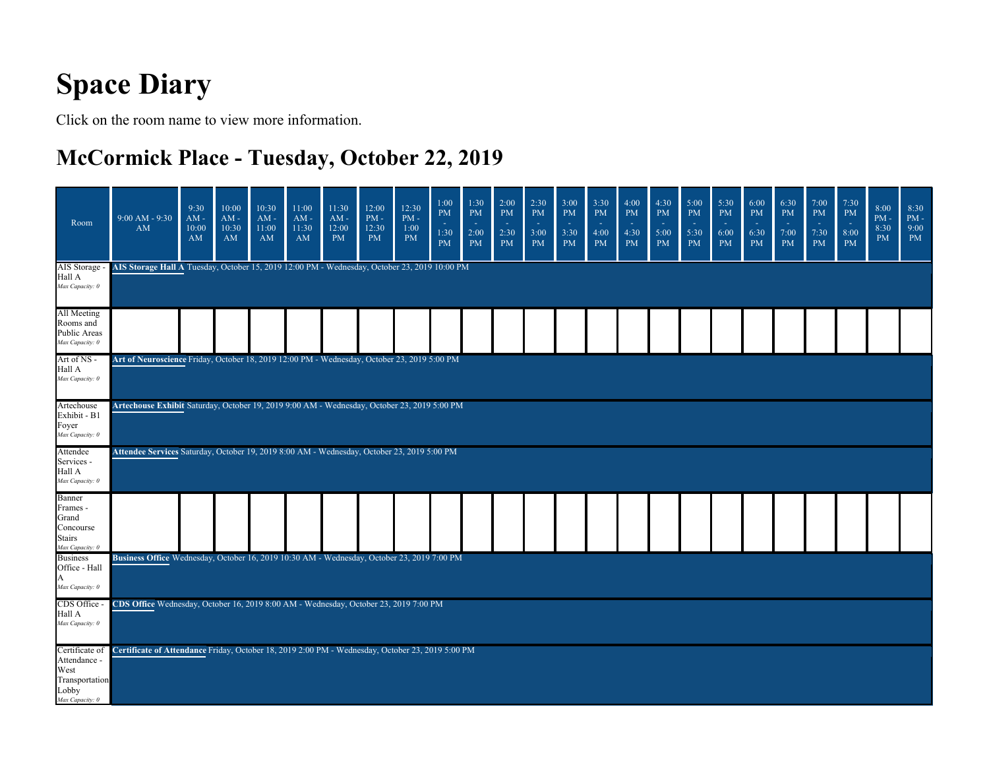## **Space Diary**

Click on the room name to view more information.

#### **McCormick Place - Tuesday, October 22, 2019**

| Room                                                                                 | $9:00 AM - 9:30$<br>AM                                                                           | 9:30<br>$AM -$<br>10:00<br>AM | 10:00<br>$AM -$<br>10:30<br>AM | 10:30<br>$AM -$<br>11:00<br>AM | 11:00<br>$AM -$<br>11:30<br>AM | 11:30<br>$AM -$<br>12:00<br><b>PM</b> | 12:00<br>$PM -$<br>12:30<br><b>PM</b> | 12:30<br>$PM -$<br>1:00<br><b>PM</b> | 1:00<br><b>PM</b><br>1:30<br><b>PM</b> | 1:30<br><b>PM</b><br>$\sim$<br>2:00<br><b>PM</b> | 2:00<br><b>PM</b><br>2:30<br><b>PM</b> | 2:30<br><b>PM</b><br>$\sim$<br>3:00<br><b>PM</b> | 3:00<br><b>PM</b><br>×.<br>3:30<br>PM | 3:30<br><b>PM</b><br>4:00<br><b>PM</b> | 4:00<br>PM<br>$\sim$<br>4:30<br><b>PM</b> | 4:30<br><b>PM</b><br>5:00<br>PM | 5:00<br><b>PM</b><br>5:30<br><b>PM</b> | 5:30<br><b>PM</b><br>$\sim$<br>6:00<br><b>PM</b> | 6:00<br><b>PM</b><br>×.<br>6:30<br>PM | 6:30<br><b>PM</b><br>7:00<br><b>PM</b> | 7:00<br>PM<br>$\sim$<br>7:30<br><b>PM</b> | 7:30<br><b>PM</b><br>$\sim$<br>8:00<br>PM | 8:00<br>$PM -$<br>8:30<br><b>PM</b> | 8:30<br>$\mathrm{PM}$ -<br>9:00<br><b>PM</b> |
|--------------------------------------------------------------------------------------|--------------------------------------------------------------------------------------------------|-------------------------------|--------------------------------|--------------------------------|--------------------------------|---------------------------------------|---------------------------------------|--------------------------------------|----------------------------------------|--------------------------------------------------|----------------------------------------|--------------------------------------------------|---------------------------------------|----------------------------------------|-------------------------------------------|---------------------------------|----------------------------------------|--------------------------------------------------|---------------------------------------|----------------------------------------|-------------------------------------------|-------------------------------------------|-------------------------------------|----------------------------------------------|
| AIS Storage -<br>Hall A<br>Max Capacity: 0                                           | AIS Storage Hall A Tuesday, October 15, 2019 12:00 PM - Wednesday, October 23, 2019 10:00 PM     |                               |                                |                                |                                |                                       |                                       |                                      |                                        |                                                  |                                        |                                                  |                                       |                                        |                                           |                                 |                                        |                                                  |                                       |                                        |                                           |                                           |                                     |                                              |
| All Meeting<br>Rooms and<br>Public Areas<br>Max Capacity: 0                          |                                                                                                  |                               |                                |                                |                                |                                       |                                       |                                      |                                        |                                                  |                                        |                                                  |                                       |                                        |                                           |                                 |                                        |                                                  |                                       |                                        |                                           |                                           |                                     |                                              |
| Art of NS -<br>Hall A<br>Max Capacity: 0                                             | Art of Neuroscience Friday, October 18, 2019 12:00 PM - Wednesday, October 23, 2019 5:00 PM      |                               |                                |                                |                                |                                       |                                       |                                      |                                        |                                                  |                                        |                                                  |                                       |                                        |                                           |                                 |                                        |                                                  |                                       |                                        |                                           |                                           |                                     |                                              |
| Artechouse<br>Exhibit - B1<br>Foyer<br>Max Capacity: 0                               | Artechouse Exhibit Saturday, October 19, 2019 9:00 AM - Wednesday, October 23, 2019 5:00 PM      |                               |                                |                                |                                |                                       |                                       |                                      |                                        |                                                  |                                        |                                                  |                                       |                                        |                                           |                                 |                                        |                                                  |                                       |                                        |                                           |                                           |                                     |                                              |
| Attendee<br>Services -<br>Hall A<br>Max Capacity: 0                                  | Attendee Services Saturday, October 19, 2019 8:00 AM - Wednesday, October 23, 2019 5:00 PM       |                               |                                |                                |                                |                                       |                                       |                                      |                                        |                                                  |                                        |                                                  |                                       |                                        |                                           |                                 |                                        |                                                  |                                       |                                        |                                           |                                           |                                     |                                              |
| Banner<br>Frames -<br>Grand<br>Concourse<br><b>Stairs</b><br>Max Capacity: 0         |                                                                                                  |                               |                                |                                |                                |                                       |                                       |                                      |                                        |                                                  |                                        |                                                  |                                       |                                        |                                           |                                 |                                        |                                                  |                                       |                                        |                                           |                                           |                                     |                                              |
| <b>Business</b><br>Office - Hall<br>A<br>Max Capacity: 0                             | Business Office Wednesday, October 16, 2019 10:30 AM - Wednesday, October 23, 2019 7:00 PM       |                               |                                |                                |                                |                                       |                                       |                                      |                                        |                                                  |                                        |                                                  |                                       |                                        |                                           |                                 |                                        |                                                  |                                       |                                        |                                           |                                           |                                     |                                              |
| CDS Office -<br>Hall A<br>Max Capacity: 0                                            | CDS Office Wednesday, October 16, 2019 8:00 AM - Wednesday, October 23, 2019 7:00 PM             |                               |                                |                                |                                |                                       |                                       |                                      |                                        |                                                  |                                        |                                                  |                                       |                                        |                                           |                                 |                                        |                                                  |                                       |                                        |                                           |                                           |                                     |                                              |
| Certificate of<br>Attendance -<br>West<br>Transportation<br>Lobby<br>Max Capacity: 0 | Certificate of Attendance Friday, October 18, 2019 2:00 PM - Wednesday, October 23, 2019 5:00 PM |                               |                                |                                |                                |                                       |                                       |                                      |                                        |                                                  |                                        |                                                  |                                       |                                        |                                           |                                 |                                        |                                                  |                                       |                                        |                                           |                                           |                                     |                                              |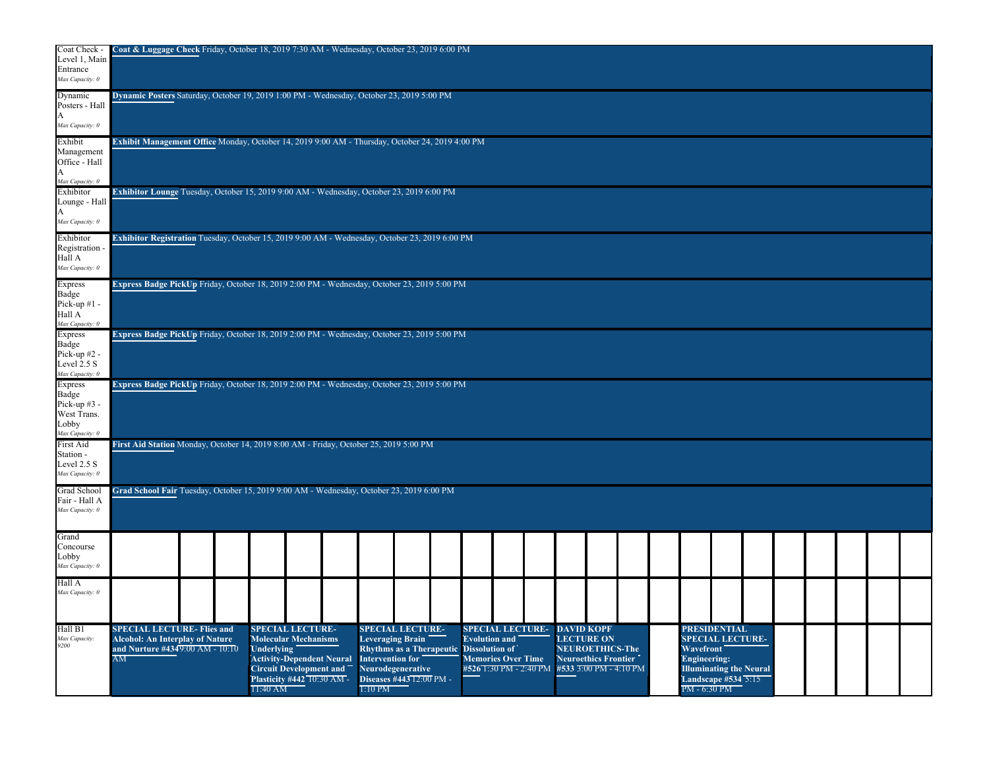| Coat Check -<br>Level 1, Main<br>Entrance<br>Max Capacity: 0                | Coat & Luggage Check Friday, October 18, 2019 7:30 AM - Wednesday, October 23, 2019 6:00 PM                        |                                                                                                                                                                                             |                               |                                                                                                                                 |                                               |                                                                                |                   |                                                                                               |  |                                                                                                                                                                                                   |  |  |  |  |
|-----------------------------------------------------------------------------|--------------------------------------------------------------------------------------------------------------------|---------------------------------------------------------------------------------------------------------------------------------------------------------------------------------------------|-------------------------------|---------------------------------------------------------------------------------------------------------------------------------|-----------------------------------------------|--------------------------------------------------------------------------------|-------------------|-----------------------------------------------------------------------------------------------|--|---------------------------------------------------------------------------------------------------------------------------------------------------------------------------------------------------|--|--|--|--|
| Dynamic<br>Posters - Hall<br>Max Capacity: 0                                | Dynamic Posters Saturday, October 19, 2019 1:00 PM - Wednesday, October 23, 2019 5:00 PM                           |                                                                                                                                                                                             |                               |                                                                                                                                 |                                               |                                                                                |                   |                                                                                               |  |                                                                                                                                                                                                   |  |  |  |  |
| Exhibit<br>Management<br>Office - Hall<br>Max Capacity: 0                   | <b>Exhibit Management Office</b> Monday, October 14, 2019 9:00 AM - Thursday, October 24, 2019 4:00 PM             |                                                                                                                                                                                             |                               |                                                                                                                                 |                                               |                                                                                |                   |                                                                                               |  |                                                                                                                                                                                                   |  |  |  |  |
| Exhibitor<br>Lounge - Hall<br>Max Capacity: 0                               | Exhibitor Lounge Tuesday, October 15, 2019 9:00 AM - Wednesday, October 23, 2019 6:00 PM                           |                                                                                                                                                                                             |                               |                                                                                                                                 |                                               |                                                                                |                   |                                                                                               |  |                                                                                                                                                                                                   |  |  |  |  |
| Exhibitor<br>Registration<br>Hall A<br>Max Capacity: 0                      | Exhibitor Registration Tuesday, October 15, 2019 9:00 AM - Wednesday, October 23, 2019 6:00 PM                     |                                                                                                                                                                                             |                               |                                                                                                                                 |                                               |                                                                                |                   |                                                                                               |  |                                                                                                                                                                                                   |  |  |  |  |
| <b>Express</b><br>Badge<br>Pick-up $#1$ -<br>Hall A<br>Max Capacity: 0      | Express Badge PickUp Friday, October 18, 2019 2:00 PM - Wednesday, October 23, 2019 5:00 PM                        |                                                                                                                                                                                             |                               |                                                                                                                                 |                                               |                                                                                |                   |                                                                                               |  |                                                                                                                                                                                                   |  |  |  |  |
| Express<br>Badge<br>Pick-up $#2$ .<br>Level 2.5 S<br>Max Capacity: 0        | Express Badge PickUp Friday, October 18, 2019 2:00 PM - Wednesday, October 23, 2019 5:00 PM                        |                                                                                                                                                                                             |                               |                                                                                                                                 |                                               |                                                                                |                   |                                                                                               |  |                                                                                                                                                                                                   |  |  |  |  |
| Express<br>Badge<br>Pick-up #3 -<br>West Trans.<br>Lobby<br>Max Capacity: 0 | Express Badge PickUp Friday, October 18, 2019 2:00 PM - Wednesday, October 23, 2019 5:00 PM                        |                                                                                                                                                                                             |                               |                                                                                                                                 |                                               |                                                                                |                   |                                                                                               |  |                                                                                                                                                                                                   |  |  |  |  |
| First Aid<br>Station -<br>Level 2.5 S<br>Max Capacity: 0                    | First Aid Station Monday, October 14, 2019 8:00 AM - Friday, October 25, 2019 5:00 PM                              |                                                                                                                                                                                             |                               |                                                                                                                                 |                                               |                                                                                |                   |                                                                                               |  |                                                                                                                                                                                                   |  |  |  |  |
| Grad School<br>Fair - Hall A<br>Max Capacity: 0                             | Grad School Fair Tuesday, October 15, 2019 9:00 AM - Wednesday, October 23, 2019 6:00 PM                           |                                                                                                                                                                                             |                               |                                                                                                                                 |                                               |                                                                                |                   |                                                                                               |  |                                                                                                                                                                                                   |  |  |  |  |
| Grand<br>Concourse<br>Lobby<br>Max Capacity: 0                              |                                                                                                                    |                                                                                                                                                                                             |                               |                                                                                                                                 |                                               |                                                                                |                   |                                                                                               |  |                                                                                                                                                                                                   |  |  |  |  |
| Hall A<br>Max Capacity: 0                                                   |                                                                                                                    |                                                                                                                                                                                             |                               |                                                                                                                                 |                                               |                                                                                |                   |                                                                                               |  |                                                                                                                                                                                                   |  |  |  |  |
| Hall B1<br>Max Capacity:<br>9200                                            | <b>SPECIAL LECTURE- Flies and</b><br>Alcohol: An Interplay of Nature<br>and Nurture $\#4349:00$ AM - $10:10$<br>AM | <b>SPECIAL LECTURE-</b><br><b>Molecular Mechanisms</b><br><b>Underlying</b><br><b>Activity-Dependent Neural</b><br><b>Circuit Development and</b><br>Plasticity #442 10:30 AM -<br>11:40 AM | Intervention for<br>$1:10$ PM | <b>SPECIAL LECTURE-</b><br>Leveraging Brain<br><b>Rhythms as a Therapeutic</b><br>Neurodegenerative<br>Diseases #443 12:00 PM - | <b>Evolution and</b><br><b>Dissolution of</b> | <b>SPECIAL LECTURE-</b><br><b>Memories Over Time</b><br>#526 1:30 PM - 2:40 PM | <b>DAVID KOPF</b> | <b>LECTURE ON</b><br>NEUROETHICS-The<br><b>Neuroethics Frontier</b><br>#533 3:00 PM - 4:10 PM |  | <b>PRESIDENTIAL</b><br><b>SPECIAL LECTURE-</b><br><b>Wavefront</b><br><b>Engineering:</b><br><b>Illuminating the Neural</b><br><b>Landscape #534 <math>\overline{5:15}</math></b><br>PM - 6:30 PM |  |  |  |  |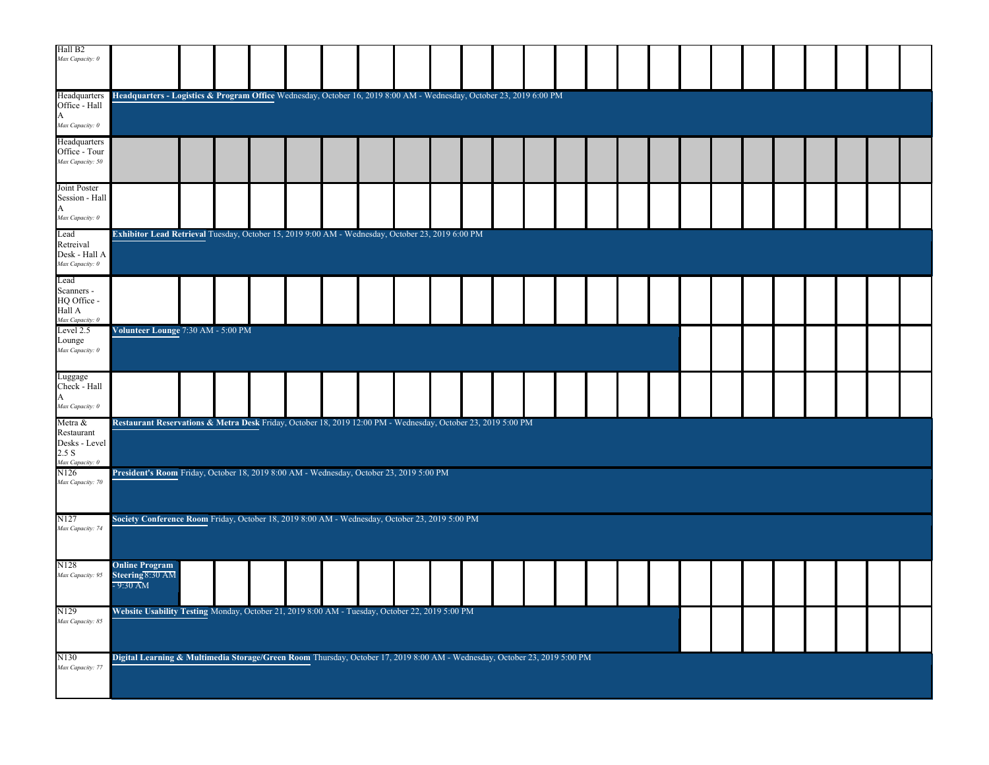| Hall B <sub>2</sub><br>Max Capacity: 0                             |                                                                                                                           |  |  |  |  |  |  |  |  |  |  |  |  |
|--------------------------------------------------------------------|---------------------------------------------------------------------------------------------------------------------------|--|--|--|--|--|--|--|--|--|--|--|--|
| Headquarters<br>Office - Hall<br>A<br>Max Capacity: 0              | Headquarters - Logistics & Program Office Wednesday, October 16, 2019 8:00 AM - Wednesday, October 23, 2019 6:00 PM       |  |  |  |  |  |  |  |  |  |  |  |  |
| Headquarters<br>Office - Tour<br>Max Capacity: 50                  |                                                                                                                           |  |  |  |  |  |  |  |  |  |  |  |  |
| Joint Poster<br>Session - Hall<br>A<br>Max Capacity: 0             |                                                                                                                           |  |  |  |  |  |  |  |  |  |  |  |  |
| Lead<br>Retreival<br>Desk - Hall A<br>Max Capacity: 0              | Exhibitor Lead Retrieval Tuesday, October 15, 2019 9:00 AM - Wednesday, October 23, 2019 6:00 PM                          |  |  |  |  |  |  |  |  |  |  |  |  |
| Lead<br>Scanners -<br>HQ Office -<br>Hall A<br>Max Capacity: 0     |                                                                                                                           |  |  |  |  |  |  |  |  |  |  |  |  |
| Level 2.5<br>Lounge<br>Max Capacity: 0                             | Volunteer Lounge 7:30 AM - 5:00 PM                                                                                        |  |  |  |  |  |  |  |  |  |  |  |  |
| Luggage<br>Check - Hall<br>A<br>Max Capacity: 0                    |                                                                                                                           |  |  |  |  |  |  |  |  |  |  |  |  |
| Metra &<br>Restaurant<br>Desks - Level<br>2.5 S<br>Max Capacity: 0 | Restaurant Reservations & Metra Desk Friday, October 18, 2019 12:00 PM - Wednesday, October 23, 2019 5:00 PM              |  |  |  |  |  |  |  |  |  |  |  |  |
| N <sub>126</sub><br>Max Capacity: 70                               | President's Room Friday, October 18, 2019 8:00 AM - Wednesday, October 23, 2019 5:00 PM                                   |  |  |  |  |  |  |  |  |  |  |  |  |
| N127<br>Max Capacity: 74                                           | Society Conference Room Friday, October 18, 2019 8:00 AM - Wednesday, October 23, 2019 5:00 PM                            |  |  |  |  |  |  |  |  |  |  |  |  |
| N <sub>128</sub><br>Max Capacity: 95                               | <b>Online Program</b><br>Steering 8:30 AM<br>$-9:30$ AM                                                                   |  |  |  |  |  |  |  |  |  |  |  |  |
| N <sub>129</sub><br>Max Capacity: 85                               | Website Usability Testing Monday, October 21, 2019 8:00 AM - Tuesday, October 22, 2019 5:00 PM                            |  |  |  |  |  |  |  |  |  |  |  |  |
| N <sub>130</sub><br>Max Capacity: 77                               | Digital Learning & Multimedia Storage/Green Room Thursday, October 17, 2019 8:00 AM - Wednesday, October 23, 2019 5:00 PM |  |  |  |  |  |  |  |  |  |  |  |  |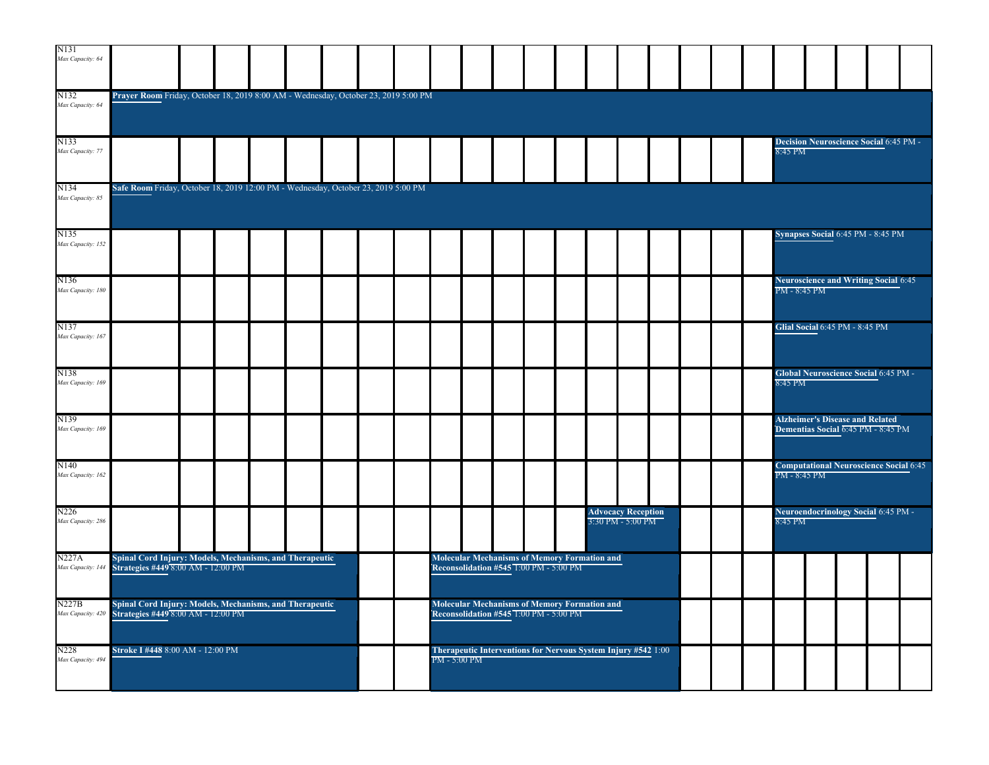| N131<br>Max Capacity: 64              |                                                                                               |  |  |  |              |                                                                                               |  |                                                    |  |  |              |                                                                              |  |  |
|---------------------------------------|-----------------------------------------------------------------------------------------------|--|--|--|--------------|-----------------------------------------------------------------------------------------------|--|----------------------------------------------------|--|--|--------------|------------------------------------------------------------------------------|--|--|
| N132<br>Max Capacity: 64              | Prayer Room Friday, October 18, 2019 8:00 AM - Wednesday, October 23, 2019 5:00 PM            |  |  |  |              |                                                                                               |  |                                                    |  |  |              |                                                                              |  |  |
| N133<br>Max Capacity: 77              |                                                                                               |  |  |  |              |                                                                                               |  |                                                    |  |  | 8:45 PM      | <b>Decision Neuroscience Social 6:45 PM -</b>                                |  |  |
| N134<br>Max Capacity: 85              | Safe Room Friday, October 18, 2019 12:00 PM - Wednesday, October 23, 2019 5:00 PM             |  |  |  |              |                                                                                               |  |                                                    |  |  |              |                                                                              |  |  |
| N135<br>Max Capacity: 152             |                                                                                               |  |  |  |              |                                                                                               |  |                                                    |  |  |              | Synapses Social 6:45 PM - 8:45 PM                                            |  |  |
| N136<br>Max Capacity: 180             |                                                                                               |  |  |  |              |                                                                                               |  |                                                    |  |  | PM - 8:45 PM | <b>Neuroscience and Writing Social 6:45</b>                                  |  |  |
| N137<br>Max Capacity: 167             |                                                                                               |  |  |  |              |                                                                                               |  |                                                    |  |  |              | Glial Social 6:45 PM - 8:45 PM                                               |  |  |
| N138<br>Max Capacity: 169             |                                                                                               |  |  |  |              |                                                                                               |  |                                                    |  |  | 8:45 PM      | Global Neuroscience Social 6:45 PM -                                         |  |  |
| N139<br>Max Capacity: 169             |                                                                                               |  |  |  |              |                                                                                               |  |                                                    |  |  |              | <b>Alzheimer's Disease and Related</b><br>Dementias Social 6:45 PM - 8:45 PM |  |  |
| N <sub>140</sub><br>Max Capacity: 162 |                                                                                               |  |  |  |              |                                                                                               |  |                                                    |  |  | PM - 8:45 PM | <b>Computational Neuroscience Social 6:45</b>                                |  |  |
| N226<br>Max Capacity: 286             |                                                                                               |  |  |  |              |                                                                                               |  | <b>Advocacy Reception</b><br>$3:30$ PM - $5:00$ PM |  |  | 8:45 PM      | Neuroendocrinology Social 6:45 PM -                                          |  |  |
| <b>N227A</b><br>Max Capacity: 14      | Spinal Cord Injury: Models, Mechanisms, and Therapeutic<br>Strategies #449 8:00 AM - 12:00 PM |  |  |  |              | <b>Molecular Mechanisms of Memory Formation and</b><br>Reconsolidation #545 1:00 PM - 5:00 PM |  |                                                    |  |  |              |                                                                              |  |  |
| N227B<br>Max Capacity: 420            | Spinal Cord Injury: Models, Mechanisms, and Therapeutic<br>Strategies #449 8:00 AM - 12:00 PM |  |  |  |              | <b>Molecular Mechanisms of Memory Formation and</b><br>Reconsolidation #545 T:00 PM - 5:00 PM |  |                                                    |  |  |              |                                                                              |  |  |
| N228<br>Max Capacity: 494             | Stroke I #448 8:00 AM - 12:00 PM                                                              |  |  |  | PM - 5:00 PM | Therapeutic Interventions for Nervous System Injury #542 1:00                                 |  |                                                    |  |  |              |                                                                              |  |  |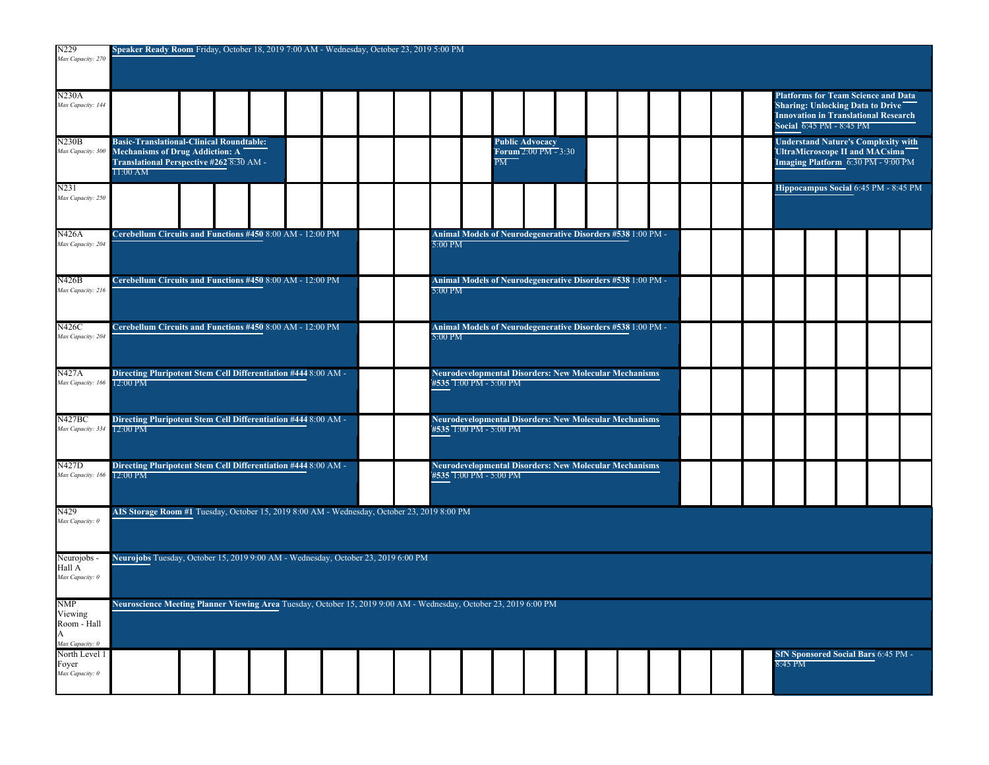| N229<br>Max Capacity: 270                                    | Speaker Ready Room Friday, October 18, 2019 7:00 AM - Wednesday, October 23, 2019 5:00 PM                                                                                                                                                                                                                                  |
|--------------------------------------------------------------|----------------------------------------------------------------------------------------------------------------------------------------------------------------------------------------------------------------------------------------------------------------------------------------------------------------------------|
|                                                              |                                                                                                                                                                                                                                                                                                                            |
| <b>N230A</b><br>Max Capacity: 144                            | <b>Platforms for Team Science and Data</b><br>Sharing: Unlocking Data to Drive<br><b>Innovation in Translational Research</b><br>Social 6:45 PM - 8:45 PM                                                                                                                                                                  |
| N230B<br>Max Capacity: 300                                   | <b>Basic-Translational-Clinical Roundtable:</b><br><b>Understand Nature's Complexity with</b><br><b>Public Advocacy</b><br>Forum 2:00 PM - 3:30<br>Mechanisms of Drug Addiction: A<br>UltraMicroscope II and MACsima<br>Translational Perspective #262 8:30 AM -<br>PM<br>Imaging Platform 6:30 PM - 9:00 PM<br>$11:00$ AM |
| N231<br>Max Capacity: 250                                    | Hippocampus Social 6:45 PM - 8:45 PM                                                                                                                                                                                                                                                                                       |
| <b>N426A</b><br>Max Capacity: 204                            | Cerebellum Circuits and Functions #450 8:00 AM - 12:00 PM<br>Animal Models of Neurodegenerative Disorders #538 1:00 PM -<br>5:00 PM                                                                                                                                                                                        |
| N426B<br>Max Capacity: 216                                   | Cerebellum Circuits and Functions #450 8:00 AM - 12:00 PM<br><b>Animal Models of Neurodegenerative Disorders #538</b> 1:00 PM -<br>5:00 PM                                                                                                                                                                                 |
| <b>N426C</b><br>Max Capacity: 204                            | Cerebellum Circuits and Functions #450 8:00 AM - 12:00 PM<br>Animal Models of Neurodegenerative Disorders #538 1:00 PM -<br>5:00 PM                                                                                                                                                                                        |
| <b>N427A</b><br>Max Capacity: 166                            | Directing Pluripotent Stem Cell Differentiation #444 8:00 AM -<br><b>Neurodevelopmental Disorders: New Molecular Mechanisms</b><br>12:00 PM<br>#535 1:00 PM - 5:00 PM                                                                                                                                                      |
| N427BC<br>Max Capacity: 334                                  | Directing Pluripotent Stem Cell Differentiation #444 8:00 AM -<br><b>Neurodevelopmental Disorders: New Molecular Mechanisms</b><br>#535 1:00 PM - 5:00 PM<br>12:00 PM                                                                                                                                                      |
| N427D<br>Max Capacity: 166                                   | Directing Pluripotent Stem Cell Differentiation #444 8:00 AM -<br><b>Neurodevelopmental Disorders: New Molecular Mechanisms</b><br>#535 T:00 PM - 5:00 PM<br>12:00 PM                                                                                                                                                      |
| N429<br>Max Capacity: 0                                      | AIS Storage Room #1 Tuesday, October 15, 2019 8:00 AM - Wednesday, October 23, 2019 8:00 PM                                                                                                                                                                                                                                |
| Neurojobs -<br>Hall A<br>Max Capacity: 0                     | Neurojobs Tuesday, October 15, 2019 9:00 AM - Wednesday, October 23, 2019 6:00 PM                                                                                                                                                                                                                                          |
| <b>NMP</b><br>Viewing<br>Room - Hall<br>A<br>Max Capacity: 0 | Neuroscience Meeting Planner Viewing Area Tuesday, October 15, 2019 9:00 AM - Wednesday, October 23, 2019 6:00 PM                                                                                                                                                                                                          |
| North Level 1<br>Foyer<br>Max Capacity: 0                    | <b>SfN Sponsored Social Bars 6:45 PM -</b><br>8:45 PM                                                                                                                                                                                                                                                                      |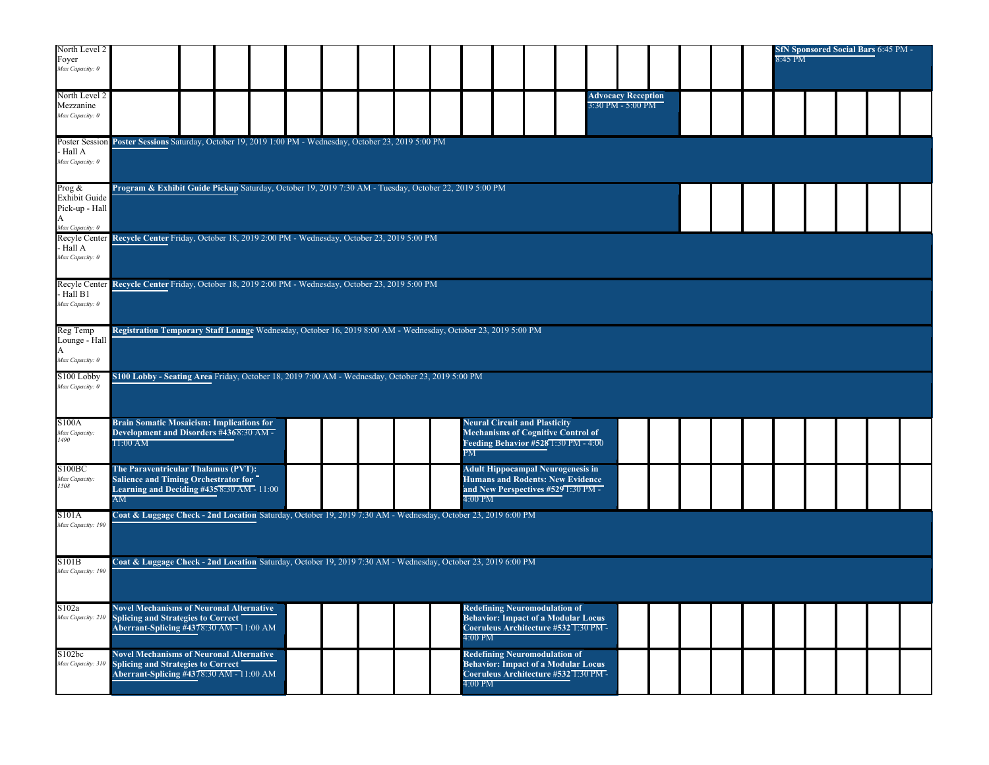| North Level 2<br>Foyer<br>Max Capacity: 0                       |                                                                                                                                          |  |  |  |  |                   |                                                                                                                             |  |                                                |  |  | 8:45 PM |  | <b>SfN Sponsored Social Bars 6:45 PM -</b> |  |
|-----------------------------------------------------------------|------------------------------------------------------------------------------------------------------------------------------------------|--|--|--|--|-------------------|-----------------------------------------------------------------------------------------------------------------------------|--|------------------------------------------------|--|--|---------|--|--------------------------------------------|--|
| North Level 2<br>Mezzanine<br>Max Capacity: 0                   |                                                                                                                                          |  |  |  |  |                   |                                                                                                                             |  | <b>Advocacy Reception</b><br>3:30 PM - 5:00 PM |  |  |         |  |                                            |  |
| Poster Session<br>Hall A<br>Max Capacity: 0                     | Poster Sessions Saturday, October 19, 2019 1:00 PM - Wednesday, October 23, 2019 5:00 PM                                                 |  |  |  |  |                   |                                                                                                                             |  |                                                |  |  |         |  |                                            |  |
| Prog $\&$<br><b>Exhibit Guide</b><br>Pick-up - Hall<br>A        | Program & Exhibit Guide Pickup Saturday, October 19, 2019 7:30 AM - Tuesday, October 22, 2019 5:00 PM                                    |  |  |  |  |                   |                                                                                                                             |  |                                                |  |  |         |  |                                            |  |
| Max Capacity: 0<br>Recyle Center<br>- Hall A<br>Max Capacity: 0 | Recycle Center Friday, October 18, 2019 2:00 PM - Wednesday, October 23, 2019 5:00 PM                                                    |  |  |  |  |                   |                                                                                                                             |  |                                                |  |  |         |  |                                            |  |
| Recyle Center<br>Hall B1<br>Max Capacity: 0                     | Recycle Center Friday, October 18, 2019 2:00 PM - Wednesday, October 23, 2019 5:00 PM                                                    |  |  |  |  |                   |                                                                                                                             |  |                                                |  |  |         |  |                                            |  |
| Reg Temp<br>Lounge - Hall<br>A<br>Max Capacity: 0               | Registration Temporary Staff Lounge Wednesday, October 16, 2019 8:00 AM - Wednesday, October 23, 2019 5:00 PM                            |  |  |  |  |                   |                                                                                                                             |  |                                                |  |  |         |  |                                            |  |
| S <sub>100</sub> Lobby<br>Max Capacity: 0                       | S100 Lobby - Seating Area Friday, October 18, 2019 7:00 AM - Wednesday, October 23, 2019 5:00 PM                                         |  |  |  |  |                   |                                                                                                                             |  |                                                |  |  |         |  |                                            |  |
| S100A<br>Max Capacity:<br>1490                                  | <b>Brain Somatic Mosaicism: Implications for</b><br>Development and Disorders #4368:30 AM -<br>$11:00$ AM                                |  |  |  |  | PМ                | <b>Neural Circuit and Plasticity</b><br><b>Mechanisms of Cognitive Control of</b><br>Feeding Behavior #528 1:30 PM - 4:00   |  |                                                |  |  |         |  |                                            |  |
| <b>S100BC</b><br>Max Capacity:<br>1508                          | The Paraventricular Thalamus (PVT):<br>Salience and Timing Orchestrator for<br>Learning and Deciding $\#435\,8:30\,AM - 11:00$<br>AM     |  |  |  |  | 4:00 PM           | <b>Adult Hippocampal Neurogenesis in</b><br><b>Humans and Rodents: New Evidence</b><br>and New Perspectives #529 1:30 PM -  |  |                                                |  |  |         |  |                                            |  |
| S101A<br>Max Capacity: 190                                      | Coat & Luggage Check - 2nd Location Saturday, October 19, 2019 7:30 AM - Wednesday, October 23, 2019 6:00 PM                             |  |  |  |  |                   |                                                                                                                             |  |                                                |  |  |         |  |                                            |  |
| S101B<br>Max Capacity: 190                                      | Coat & Luggage Check - 2nd Location Saturday, October 19, 2019 7:30 AM - Wednesday, October 23, 2019 6:00 PM                             |  |  |  |  |                   |                                                                                                                             |  |                                                |  |  |         |  |                                            |  |
| S102a<br>Max Capacity: 210                                      | <b>Novel Mechanisms of Neuronal Alternative</b><br>"Splicing and Strategies to Correct"<br>Aberrant-Splicing #4378:30 AM - 11:00 AM      |  |  |  |  | $4:00 \text{ PM}$ | <b>Redefining Neuromodulation of</b><br><b>Behavior: Impact of a Modular Locus</b><br>Coeruleus Architecture #532 1:30 PM - |  |                                                |  |  |         |  |                                            |  |
| S102bc<br>Max Capacity: 31                                      | <b>Novel Mechanisms of Neuronal Alternative</b><br><b>Splicing and Strategies to Correct</b><br>Aberrant-Splicing #4378:30 AM - 11:00 AM |  |  |  |  | 4:00 PM           | <b>Redefining Neuromodulation of</b><br><b>Behavior: Impact of a Modular Locus</b><br>Coeruleus Architecture #532 1:30 PM-  |  |                                                |  |  |         |  |                                            |  |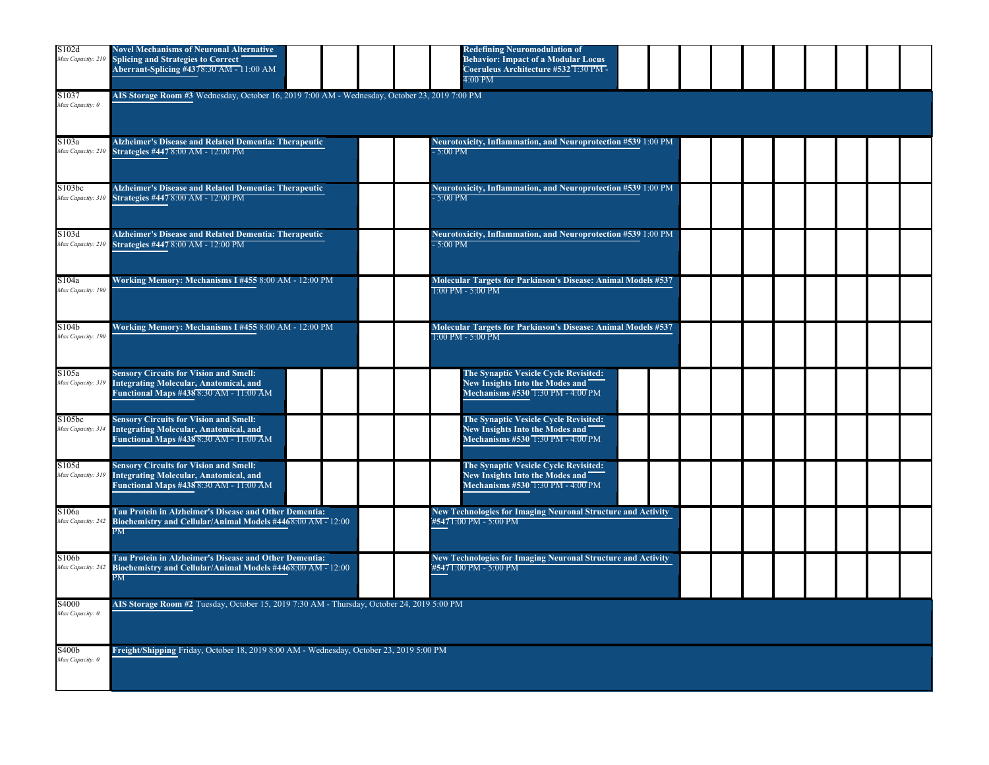| S102d<br>Max Capacity: 210  | <b>Novel Mechanisms of Neuronal Alternative</b><br>"Splicing and Strategies to Correct<br>Aberrant-Splicing #4378:30 AM - 11:00 AM | <b>Redefining Neuromodulation of</b><br><b>Behavior: Impact of a Modular Locus</b><br>Coeruleus Architecture #532 1:30 PM -<br>4:00 PM |  |  |  |  |  |  |  |  |  |  |  |  |
|-----------------------------|------------------------------------------------------------------------------------------------------------------------------------|----------------------------------------------------------------------------------------------------------------------------------------|--|--|--|--|--|--|--|--|--|--|--|--|
| S1037<br>Max Capacity: 0    | AIS Storage Room #3 Wednesday, October 16, 2019 7:00 AM - Wednesday, October 23, 2019 7:00 PM                                      |                                                                                                                                        |  |  |  |  |  |  |  |  |  |  |  |  |
| S103a<br>Max Capacity: 210  | <b>Alzheimer's Disease and Related Dementia: Therapeutic</b><br>Strategies #447 8:00 AM - 12:00 PM                                 | Neurotoxicity, Inflammation, and Neuroprotection #539 1:00 PM<br>- 5:00 PM                                                             |  |  |  |  |  |  |  |  |  |  |  |  |
| S103bc<br>Max Capacity: 310 | Alzheimer's Disease and Related Dementia: Therapeutic<br>Strategies #447 8:00 AM - 12:00 PM                                        | Neurotoxicity, Inflammation, and Neuroprotection #539 1:00 PM<br>$-5:00$ PM                                                            |  |  |  |  |  |  |  |  |  |  |  |  |
| S103d<br>Max Capacity: 210  | Alzheimer's Disease and Related Dementia: Therapeutic<br>Strategies #447 8:00 AM - 12:00 PM                                        | Neurotoxicity, Inflammation, and Neuroprotection #539 1:00 PM<br>5:00 PM                                                               |  |  |  |  |  |  |  |  |  |  |  |  |
| S104a<br>Max Capacity: 190  | Working Memory: Mechanisms I #455 8:00 AM - 12:00 PM                                                                               | <b>Molecular Targets for Parkinson's Disease: Animal Models #537</b><br>$1:00$ PM - 5:00 PM                                            |  |  |  |  |  |  |  |  |  |  |  |  |
| S104b<br>Max Capacity: 190  | Working Memory: Mechanisms I #455 8:00 AM - 12:00 PM                                                                               | <b>Molecular Targets for Parkinson's Disease: Animal Models #537</b><br>$1:00$ PM - 5:00 PM                                            |  |  |  |  |  |  |  |  |  |  |  |  |
| S105a<br>Max Capacity: 319  | <b>Sensory Circuits for Vision and Smell:</b><br>Integrating Molecular, Anatomical, and<br>Functional Maps #438 8:30 AM - 11:00 AM | The Synaptic Vesicle Cycle Revisited:<br>New Insights Into the Modes and<br>Mechanisms #530 1:30 PM - 4:00 PM                          |  |  |  |  |  |  |  |  |  |  |  |  |
| S105bc<br>Max Capacity: 314 | <b>Sensory Circuits for Vision and Smell:</b><br>Integrating Molecular, Anatomical, and<br>Functional Maps #438 8:30 AM - 11:00 AM | The Synaptic Vesicle Cycle Revisited:<br>New Insights Into the Modes and<br>Mechanisms #530 1:30 PM - 4:00 PM                          |  |  |  |  |  |  |  |  |  |  |  |  |
| S105d<br>Max Capacity: 319  | <b>Sensory Circuits for Vision and Smell:</b><br>Integrating Molecular, Anatomical, and<br>Functional Maps #438 8:30 AM - 11:00 AM | The Synaptic Vesicle Cycle Revisited:<br>New Insights Into the Modes and<br>Mechanisms #530 1:30 PM - 4:00 PM                          |  |  |  |  |  |  |  |  |  |  |  |  |
| S106a<br>Max Capacity: 242  | Tau Protein in Alzheimer's Disease and Other Dementia:<br>Biochemistry and Cellular/Animal Models #4468:00 AM - 12:00<br>PМ        | New Technologies for Imaging Neuronal Structure and Activity<br>#5471:00 PM - 5:00 PM                                                  |  |  |  |  |  |  |  |  |  |  |  |  |
| S106b<br>Max Capacity: 242  | Tau Protein in Alzheimer's Disease and Other Dementia:<br>Biochemistry and Cellular/Animal Models #4468:00 AM - 12:00<br>PM        | <b>New Technologies for Imaging Neuronal Structure and Activity</b><br>#5471:00 PM - 5:00 PM                                           |  |  |  |  |  |  |  |  |  |  |  |  |
| S4000<br>Max Capacity: 0    | AIS Storage Room #2 Tuesday, October 15, 2019 7:30 AM - Thursday, October 24, 2019 5:00 PM                                         |                                                                                                                                        |  |  |  |  |  |  |  |  |  |  |  |  |
| S400b<br>Max Capacity: 0    | Freight/Shipping Friday, October 18, 2019 8:00 AM - Wednesday, October 23, 2019 5:00 PM                                            |                                                                                                                                        |  |  |  |  |  |  |  |  |  |  |  |  |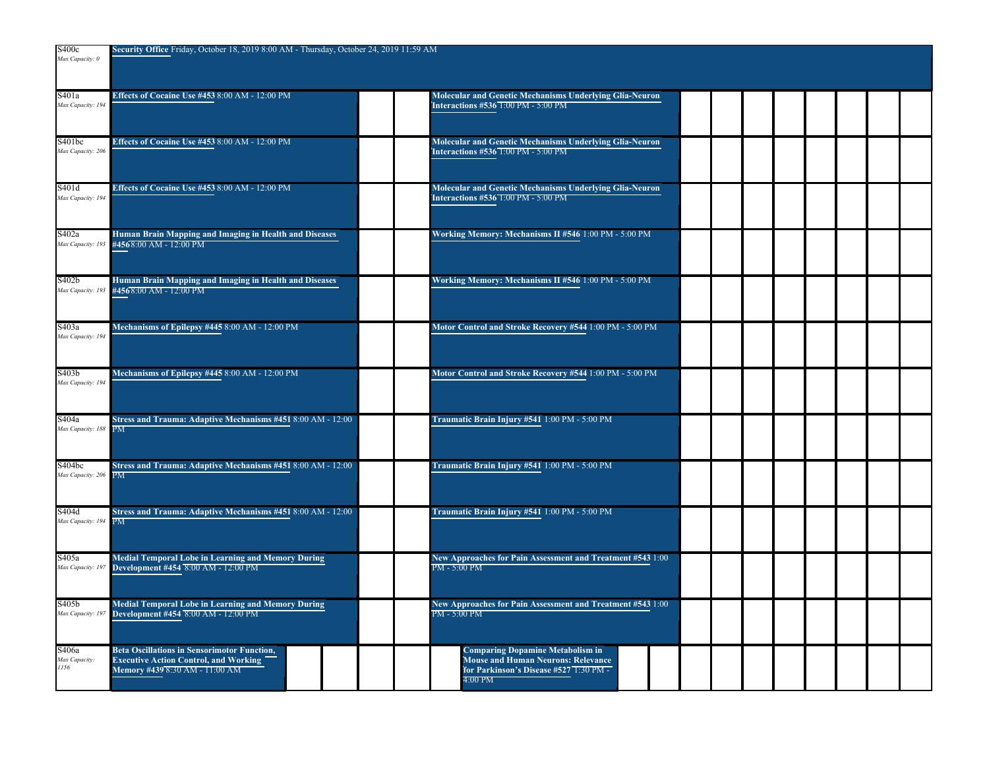| S400c<br>Max Capacity: 0               | Security Office Friday, October 18, 2019 8:00 AM - Thursday, October 24, 2019 11:59 AM                                               |                                                                                                                                           |
|----------------------------------------|--------------------------------------------------------------------------------------------------------------------------------------|-------------------------------------------------------------------------------------------------------------------------------------------|
| S401a<br>Max Capacity: 194             | Effects of Cocaine Use #453 8:00 AM - 12:00 PM                                                                                       | <b>Molecular and Genetic Mechanisms Underlying Glia-Neuron</b><br><b>Interactions #536 1:00 PM - 5:00 PM</b>                              |
| S401bc<br>Max Capacity: 20t            | Effects of Cocaine Use #453 8:00 AM - 12:00 PM                                                                                       | Molecular and Genetic Mechanisms Underlying Glia-Neuron<br><b>Interactions #536 1:00 PM - 5:00 PM</b>                                     |
| S401d<br>Max Capacity: 194             | Effects of Cocaine Use #453 8:00 AM - 12:00 PM                                                                                       | Molecular and Genetic Mechanisms Underlying Glia-Neuron<br><b>Interactions #536 1:00 PM - 5:00 PM</b>                                     |
| S402a                                  | Human Brain Mapping and Imaging in Health and Diseases<br>Max Capacity: 193 #4568:00 AM - 12:00 PM                                   | Working Memory: Mechanisms II #546 1:00 PM - 5:00 PM                                                                                      |
| S402b<br>Max Capacity: 19.             | Human Brain Mapping and Imaging in Health and Diseases<br>#4568:00 AM - 12:00 PM                                                     | Working Memory: Mechanisms II #546 1:00 PM - 5:00 PM                                                                                      |
| S403a<br>Max Capacity: 194             | Mechanisms of Epilepsy #445 8:00 AM - 12:00 PM                                                                                       | Motor Control and Stroke Recovery #544 1:00 PM - 5:00 PM                                                                                  |
| S403 <sub>b</sub><br>Max Capacity: 194 | Mechanisms of Epilepsy #445 8:00 AM - 12:00 PM                                                                                       | Motor Control and Stroke Recovery #544 1:00 PM - 5:00 PM                                                                                  |
| S404a<br>Max Capacity: 188             | Stress and Trauma: Adaptive Mechanisms #451 8:00 AM - 12:00<br>PM.                                                                   | Traumatic Brain Injury #541 1:00 PM - 5:00 PM                                                                                             |
| S404bc<br>Max Capacity: 206            | Stress and Trauma: Adaptive Mechanisms #451 8:00 AM - 12:00<br>PМ                                                                    | Traumatic Brain Injury #541 1:00 PM - 5:00 PM                                                                                             |
| S404d<br>Max Capacity: 194 PM          | Stress and Trauma: Adaptive Mechanisms #451 8:00 AM - 12:00                                                                          | Traumatic Brain Injury #541 1:00 PM - 5:00 PM                                                                                             |
| S405a<br>Max Capacity: 19              | <b>Medial Temporal Lobe in Learning and Memory During</b><br>Development #454 8:00 AM - 12:00 PM                                     | New Approaches for Pain Assessment and Treatment #543 1:00<br>PM - 5:00 PM                                                                |
| S405b<br>Max Capacity: 19.             | <b>Medial Temporal Lobe in Learning and Memory During</b><br>Development #454 8:00 AM - 12:00 PM                                     | New Approaches for Pain Assessment and Treatment #543 1:00<br>PM - 5:00 PM                                                                |
| S406a<br>Max Capacity:<br>1156         | <b>Beta Oscillations in Sensorimotor Function,</b><br><b>Executive Action Control, and Working</b><br>Memory #439 8:30 AM - 11:00 AM | <b>Comparing Dopamine Metabolism in</b><br><b>Mouse and Human Neurons: Relevance</b><br>for Parkinson's Disease #527 1:30 PM -<br>4:00 PM |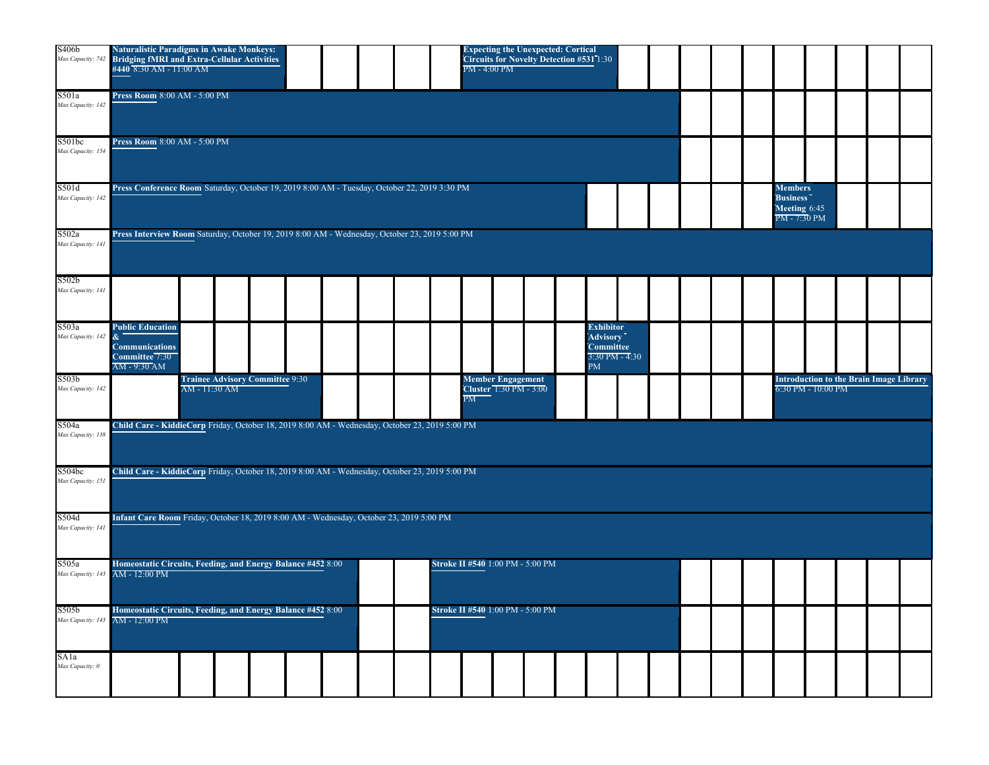| S406b<br>Max Capacity: 742             | <b>Naturalistic Paradigms in Awake Monkeys:</b><br>'Bridging fMRI and Extra-Cellular Activities<br>#440 8:30 AM - 11:00 AM | <b>Expecting the Unexpected: Cortical</b><br>Circuits for Novelty Detection #531 1:30<br>PM - 4:00 PM |                                                                     |                                                                      |  |  |  |  |  |  |  |  |  |  |  |
|----------------------------------------|----------------------------------------------------------------------------------------------------------------------------|-------------------------------------------------------------------------------------------------------|---------------------------------------------------------------------|----------------------------------------------------------------------|--|--|--|--|--|--|--|--|--|--|--|
| S501a<br>Max Capacity: 142             | Press Room 8:00 AM - 5:00 PM                                                                                               |                                                                                                       |                                                                     |                                                                      |  |  |  |  |  |  |  |  |  |  |  |
| S501bc<br>Max Capacity: 154            | Press Room 8:00 AM - 5:00 PM                                                                                               |                                                                                                       |                                                                     |                                                                      |  |  |  |  |  |  |  |  |  |  |  |
| S501d<br>Max Capacity: 142             | Press Conference Room Saturday, October 19, 2019 8:00 AM - Tuesday, October 22, 2019 3:30 PM                               |                                                                                                       | <b>Members</b><br><b>Business</b><br>Meeting 6:45<br>$PM - 7:30 PM$ |                                                                      |  |  |  |  |  |  |  |  |  |  |  |
| S502a<br>Max Capacity: 141             | Press Interview Room Saturday, October 19, 2019 8:00 AM - Wednesday, October 23, 2019 5:00 PM                              |                                                                                                       |                                                                     |                                                                      |  |  |  |  |  |  |  |  |  |  |  |
| S502 <sub>b</sub><br>Max Capacity: 141 |                                                                                                                            |                                                                                                       |                                                                     |                                                                      |  |  |  |  |  |  |  |  |  |  |  |
| S503a<br>Max Capacity: 142             | <b>Public Education</b><br>$\alpha$<br><b>Communications</b><br>Committee 7:30<br>AM - 9:30 AM                             | <b>Exhibitor</b><br><b>Advisory</b><br><b>Committee</b><br>$3:30$ PM - 4:30<br>PM                     |                                                                     |                                                                      |  |  |  |  |  |  |  |  |  |  |  |
| S503 <sub>b</sub><br>Max Capacity: 142 | <b>Trainee Advisory Committee 9:30</b><br>AM - 11:30 AM                                                                    | <b>Member Engagement</b><br>Cluster 1:30 PM - 3:00<br>PM                                              |                                                                     | <b>Introduction to the Brain Image Library</b><br>6:30 PM - 10:00 PM |  |  |  |  |  |  |  |  |  |  |  |
| S504a<br>Max Capacity: 138             | Child Care - KiddieCorp Friday, October 18, 2019 8:00 AM - Wednesday, October 23, 2019 5:00 PM                             |                                                                                                       |                                                                     |                                                                      |  |  |  |  |  |  |  |  |  |  |  |
| S504bc<br>Max Capacity: 151            | Child Care - KiddieCorp Friday, October 18, 2019 8:00 AM - Wednesday, October 23, 2019 5:00 PM                             |                                                                                                       |                                                                     |                                                                      |  |  |  |  |  |  |  |  |  |  |  |
|                                        |                                                                                                                            |                                                                                                       |                                                                     |                                                                      |  |  |  |  |  |  |  |  |  |  |  |
| S504d<br>Max Capacity: 141             | Infant Care Room Friday, October 18, 2019 8:00 AM - Wednesday, October 23, 2019 5:00 PM                                    |                                                                                                       |                                                                     |                                                                      |  |  |  |  |  |  |  |  |  |  |  |
| S505a<br>Max Capacity: 143             | Homeostatic Circuits, Feeding, and Energy Balance #452 8:00<br>AM - 12:00 PM                                               | Stroke II #540 1:00 PM - 5:00 PM                                                                      |                                                                     |                                                                      |  |  |  |  |  |  |  |  |  |  |  |
| S505b                                  | Homeostatic Circuits, Feeding, and Energy Balance #452 8:00<br>Max Capacity: 143 AM - 12:00 PM                             | Stroke II #540 1:00 PM - 5:00 PM                                                                      |                                                                     |                                                                      |  |  |  |  |  |  |  |  |  |  |  |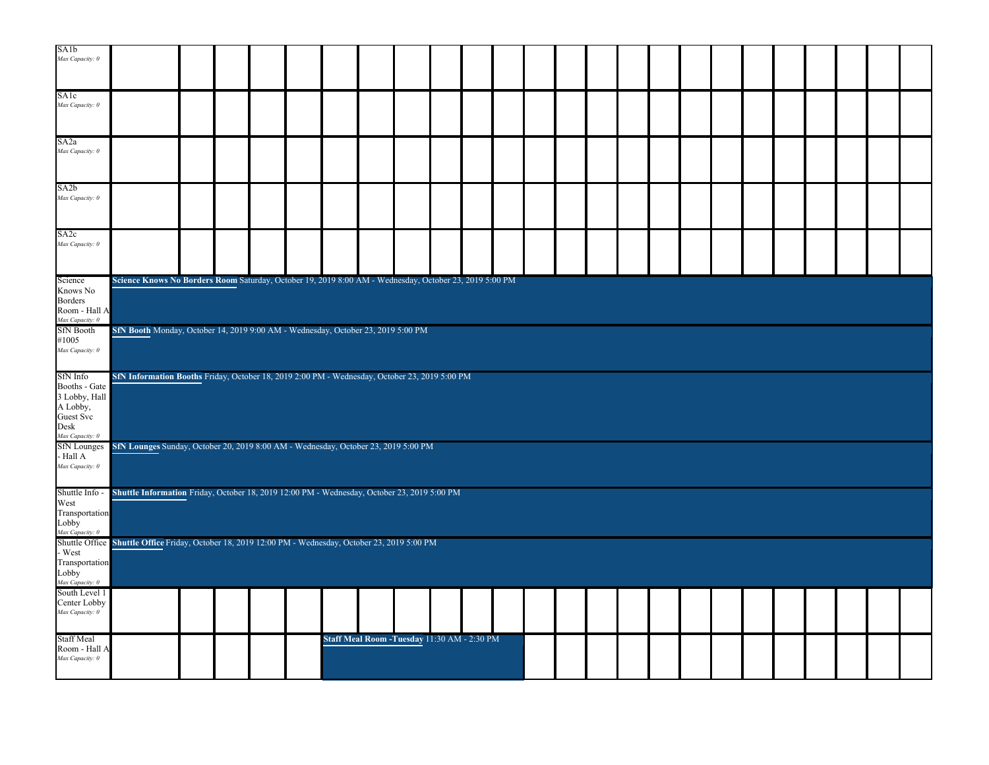| SA <sub>1</sub> b<br>Max Capacity: 0 |                                                                                                        |  |  |                                              |  |  |  |  |  |  |  |  |  |
|--------------------------------------|--------------------------------------------------------------------------------------------------------|--|--|----------------------------------------------|--|--|--|--|--|--|--|--|--|
|                                      |                                                                                                        |  |  |                                              |  |  |  |  |  |  |  |  |  |
| SA1c                                 |                                                                                                        |  |  |                                              |  |  |  |  |  |  |  |  |  |
| Max Capacity: 0                      |                                                                                                        |  |  |                                              |  |  |  |  |  |  |  |  |  |
| SA <sub>2</sub> a                    |                                                                                                        |  |  |                                              |  |  |  |  |  |  |  |  |  |
| Max Capacity: 0                      |                                                                                                        |  |  |                                              |  |  |  |  |  |  |  |  |  |
| SA <sub>2</sub> b                    |                                                                                                        |  |  |                                              |  |  |  |  |  |  |  |  |  |
| Max Capacity: 0                      |                                                                                                        |  |  |                                              |  |  |  |  |  |  |  |  |  |
| SA2c                                 |                                                                                                        |  |  |                                              |  |  |  |  |  |  |  |  |  |
| Max Capacity: 0                      |                                                                                                        |  |  |                                              |  |  |  |  |  |  |  |  |  |
| Science                              | Science Knows No Borders Room Saturday, October 19, 2019 8:00 AM - Wednesday, October 23, 2019 5:00 PM |  |  |                                              |  |  |  |  |  |  |  |  |  |
| Knows No                             |                                                                                                        |  |  |                                              |  |  |  |  |  |  |  |  |  |
| <b>Borders</b><br>Room - Hall A      |                                                                                                        |  |  |                                              |  |  |  |  |  |  |  |  |  |
| Max Capacity: 0<br><b>SfN</b> Booth  | SfN Booth Monday, October 14, 2019 9:00 AM - Wednesday, October 23, 2019 5:00 PM                       |  |  |                                              |  |  |  |  |  |  |  |  |  |
| #1005                                |                                                                                                        |  |  |                                              |  |  |  |  |  |  |  |  |  |
| Max Capacity: 0                      |                                                                                                        |  |  |                                              |  |  |  |  |  |  |  |  |  |
| SfN Info                             | SfN Information Booths Friday, October 18, 2019 2:00 PM - Wednesday, October 23, 2019 5:00 PM          |  |  |                                              |  |  |  |  |  |  |  |  |  |
| Booths - Gate<br>3 Lobby, Hall       |                                                                                                        |  |  |                                              |  |  |  |  |  |  |  |  |  |
| A Lobby,                             |                                                                                                        |  |  |                                              |  |  |  |  |  |  |  |  |  |
| Guest Svc<br>Desk                    |                                                                                                        |  |  |                                              |  |  |  |  |  |  |  |  |  |
| Max Capacity: 0                      |                                                                                                        |  |  |                                              |  |  |  |  |  |  |  |  |  |
| <b>SfN</b> Lounges<br>- Hall A       | SfN Lounges Sunday, October 20, 2019 8:00 AM - Wednesday, October 23, 2019 5:00 PM                     |  |  |                                              |  |  |  |  |  |  |  |  |  |
| Max Capacity: 0                      |                                                                                                        |  |  |                                              |  |  |  |  |  |  |  |  |  |
| Shuttle Info -                       | Shuttle Information Friday, October 18, 2019 12:00 PM - Wednesday, October 23, 2019 5:00 PM            |  |  |                                              |  |  |  |  |  |  |  |  |  |
| West<br>Transportation               |                                                                                                        |  |  |                                              |  |  |  |  |  |  |  |  |  |
| Lobby                                |                                                                                                        |  |  |                                              |  |  |  |  |  |  |  |  |  |
| Max Capacity: 0                      | Shuttle Office Shuttle Office Friday, October 18, 2019 12:00 PM - Wednesday, October 23, 2019 5:00 PM  |  |  |                                              |  |  |  |  |  |  |  |  |  |
| - West                               |                                                                                                        |  |  |                                              |  |  |  |  |  |  |  |  |  |
| Transportation<br>Lobby              |                                                                                                        |  |  |                                              |  |  |  |  |  |  |  |  |  |
| Max Capacity: 0                      |                                                                                                        |  |  |                                              |  |  |  |  |  |  |  |  |  |
| South Level 1<br>Center Lobby        |                                                                                                        |  |  |                                              |  |  |  |  |  |  |  |  |  |
| Max Capacity: 0                      |                                                                                                        |  |  |                                              |  |  |  |  |  |  |  |  |  |
| <b>Staff Meal</b>                    |                                                                                                        |  |  | Staff Meal Room - Tuesday 11:30 AM - 2:30 PM |  |  |  |  |  |  |  |  |  |
| Room - Hall A<br>Max Capacity: 0     |                                                                                                        |  |  |                                              |  |  |  |  |  |  |  |  |  |
|                                      |                                                                                                        |  |  |                                              |  |  |  |  |  |  |  |  |  |
|                                      |                                                                                                        |  |  |                                              |  |  |  |  |  |  |  |  |  |